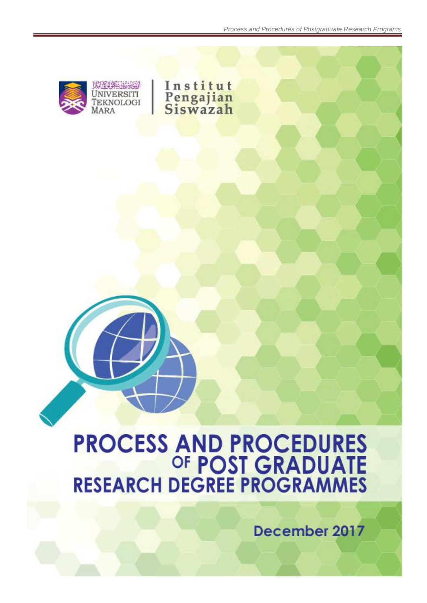

# **PROCESS AND PROCEDURES<br>OF POST GRADUATE<br>RESEARCH DEGREE PROGRAMMES**

December 2017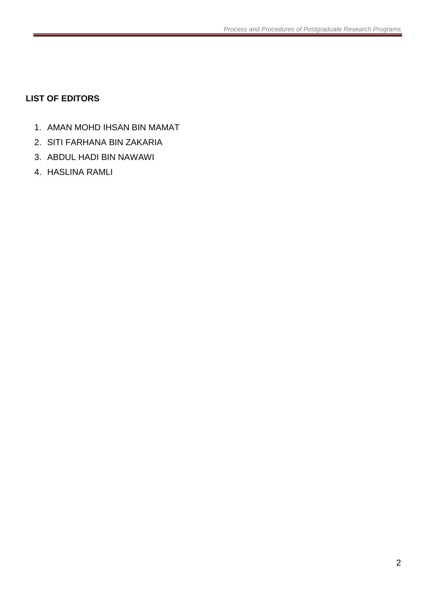# <span id="page-1-0"></span>**LIST OF EDITORS**

- 1. AMAN MOHD IHSAN BIN MAMAT
- 2. SITI FARHANA BIN ZAKARIA
- 3. ABDUL HADI BIN NAWAWI
- 4. HASLINA RAMLI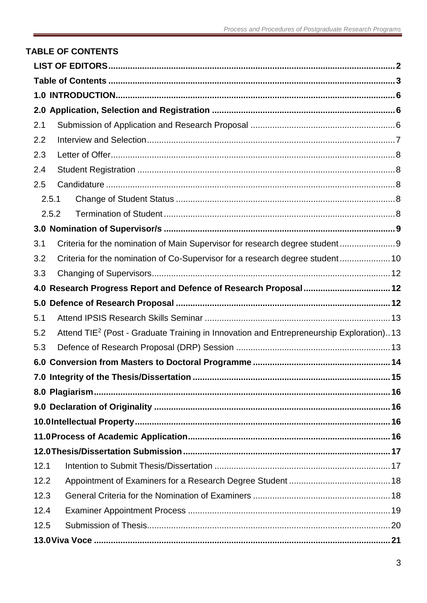### <span id="page-2-0"></span>**TABLE OF CONTENTS**  $2.1$  $2.2$  $2.3$  $24$  $2.5$  $2.5.1$  $2.5.2$

| 3.1  |                                                                                                     |
|------|-----------------------------------------------------------------------------------------------------|
| 3.2  | Criteria for the nomination of Co-Supervisor for a research degree student 10                       |
| 3.3  |                                                                                                     |
|      |                                                                                                     |
| 5.0  |                                                                                                     |
| 5.1  |                                                                                                     |
| 5.2  | Attend TIE <sup>2</sup> (Post - Graduate Training in Innovation and Entrepreneurship Exploration)13 |
| 5.3  |                                                                                                     |
| 6.0  |                                                                                                     |
|      |                                                                                                     |
|      |                                                                                                     |
|      |                                                                                                     |
|      |                                                                                                     |
|      |                                                                                                     |
|      |                                                                                                     |
| 12.1 |                                                                                                     |
| 12.2 |                                                                                                     |
| 12.3 |                                                                                                     |
| 12.4 |                                                                                                     |
| 12.5 |                                                                                                     |
|      |                                                                                                     |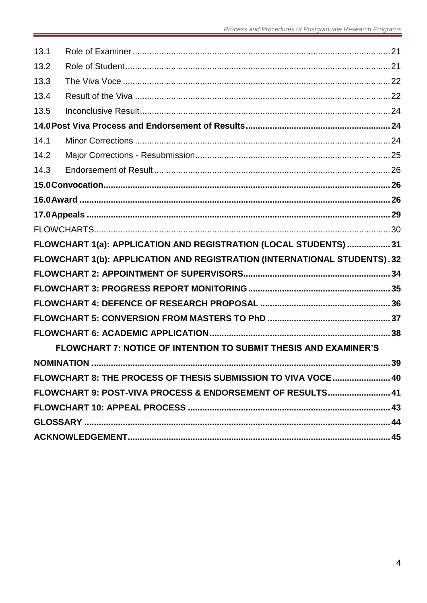| 13.1 |                                                                           |  |
|------|---------------------------------------------------------------------------|--|
| 13.2 |                                                                           |  |
| 13.3 |                                                                           |  |
| 13.4 |                                                                           |  |
| 13.5 |                                                                           |  |
|      |                                                                           |  |
| 14.1 |                                                                           |  |
| 14.2 |                                                                           |  |
| 14.3 |                                                                           |  |
|      |                                                                           |  |
|      |                                                                           |  |
|      |                                                                           |  |
|      |                                                                           |  |
|      | FLOWCHART 1(a): APPLICATION AND REGISTRATION (LOCAL STUDENTS)  31         |  |
|      | FLOWCHART 1(b): APPLICATION AND REGISTRATION (INTERNATIONAL STUDENTS). 32 |  |
|      |                                                                           |  |
|      |                                                                           |  |
|      |                                                                           |  |
|      |                                                                           |  |
|      |                                                                           |  |
|      | FLOWCHART 7: NOTICE OF INTENTION TO SUBMIT THESIS AND EXAMINER'S          |  |
|      |                                                                           |  |
|      | FLOWCHART 8: THE PROCESS OF THESIS SUBMISSION TO VIVA VOCE 40             |  |
|      | FLOWCHART 9: POST-VIVA PROCESS & ENDORSEMENT OF RESULTS 41                |  |
|      |                                                                           |  |
|      |                                                                           |  |
|      |                                                                           |  |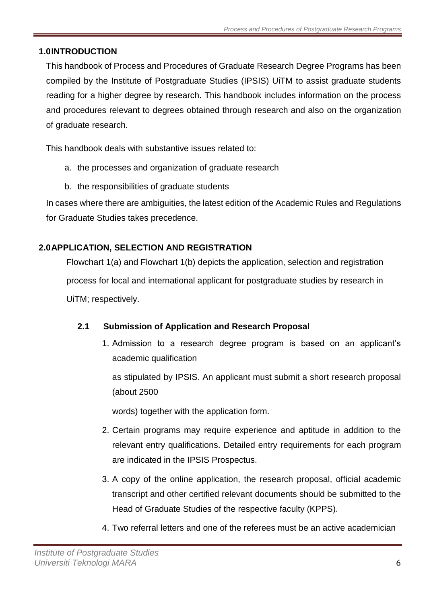# <span id="page-5-0"></span>**1.0INTRODUCTION**

This handbook of Process and Procedures of Graduate Research Degree Programs has been compiled by the Institute of Postgraduate Studies (IPSIS) UiTM to assist graduate students reading for a higher degree by research. This handbook includes information on the process and procedures relevant to degrees obtained through research and also on the organization of graduate research.

This handbook deals with substantive issues related to:

- a. the processes and organization of graduate research
- b. the responsibilities of graduate students

In cases where there are ambiguities, the latest edition of the Academic Rules and Regulations for Graduate Studies takes precedence.

# <span id="page-5-1"></span>**2.0APPLICATION, SELECTION AND REGISTRATION**

Flowchart 1(a) and Flowchart 1(b) depicts the application, selection and registration process for local and international applicant for postgraduate studies by research in UiTM; respectively.

# <span id="page-5-2"></span>**2.1 Submission of Application and Research Proposal**

1. Admission to a research degree program is based on an applicant's academic qualification

as stipulated by IPSIS. An applicant must submit a short research proposal (about 2500

words) together with the application form.

- 2. Certain programs may require experience and aptitude in addition to the relevant entry qualifications. Detailed entry requirements for each program are indicated in the IPSIS Prospectus.
- 3. A copy of the online application, the research proposal, official academic transcript and other certified relevant documents should be submitted to the Head of Graduate Studies of the respective faculty (KPPS).
- 4. Two referral letters and one of the referees must be an active academician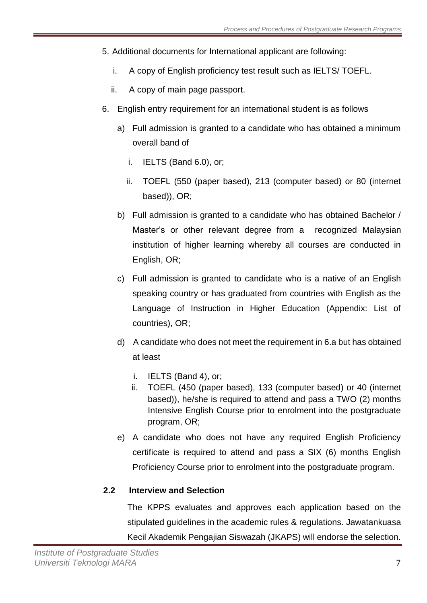- 5. Additional documents for International applicant are following:
	- i. A copy of English proficiency test result such as IELTS/ TOEFL.
	- ii. A copy of main page passport.
- 6. English entry requirement for an international student is as follows
	- a) Full admission is granted to a candidate who has obtained a minimum overall band of
		- i. IELTS (Band 6.0), or;
		- ii. TOEFL (550 (paper based), 213 (computer based) or 80 (internet based)), OR;
	- b) Full admission is granted to a candidate who has obtained Bachelor / Master's or other relevant degree from a recognized Malaysian institution of higher learning whereby all courses are conducted in English, OR;
	- c) Full admission is granted to candidate who is a native of an English speaking country or has graduated from countries with English as the Language of Instruction in Higher Education (Appendix: List of countries), OR;
	- d) A candidate who does not meet the requirement in 6.a but has obtained at least
		- i. IELTS (Band 4), or;
		- ii. TOEFL (450 (paper based), 133 (computer based) or 40 (internet based)), he/she is required to attend and pass a TWO (2) months Intensive English Course prior to enrolment into the postgraduate program, OR;
	- e) A candidate who does not have any required English Proficiency certificate is required to attend and pass a SIX (6) months English Proficiency Course prior to enrolment into the postgraduate program.

# <span id="page-6-0"></span>**2.2 Interview and Selection**

The KPPS evaluates and approves each application based on the stipulated guidelines in the academic rules & regulations. Jawatankuasa Kecil Akademik Pengajian Siswazah (JKAPS) will endorse the selection.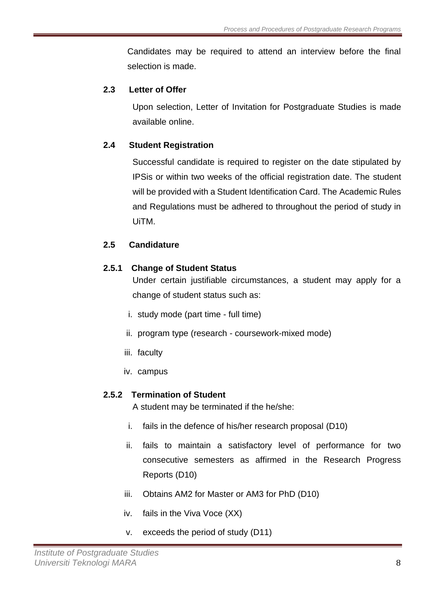Candidates may be required to attend an interview before the final selection is made.

### <span id="page-7-0"></span>**2.3 Letter of Offer**

Upon selection, Letter of Invitation for Postgraduate Studies is made available online.

### <span id="page-7-1"></span>**2.4 Student Registration**

Successful candidate is required to register on the date stipulated by IPSis or within two weeks of the official registration date. The student will be provided with a Student Identification Card. The Academic Rules and Regulations must be adhered to throughout the period of study in UiTM.

### <span id="page-7-2"></span>**2.5 Candidature**

### <span id="page-7-3"></span>**2.5.1 Change of Student Status**

Under certain justifiable circumstances, a student may apply for a change of student status such as:

- i. study mode (part time full time)
- ii. program type (research coursework-mixed mode)
- iii. faculty
- iv. campus

# <span id="page-7-4"></span>**2.5.2 Termination of Student**

A student may be terminated if the he/she:

- i. fails in the defence of his/her research proposal (D10)
- ii. fails to maintain a satisfactory level of performance for two consecutive semesters as affirmed in the Research Progress Reports (D10)
- iii. Obtains AM2 for Master or AM3 for PhD (D10)
- iv. fails in the Viva Voce (XX)
- v. exceeds the period of study (D11)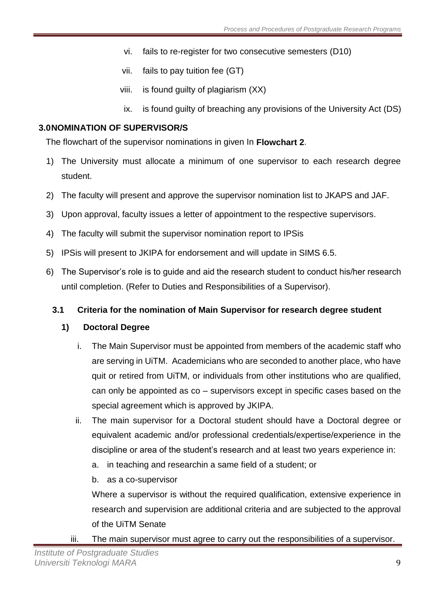- vi. fails to re-register for two consecutive semesters (D10)
- vii. fails to pay tuition fee (GT)
- viii. is found guilty of plagiarism (XX)
- ix. is found guilty of breaching any provisions of the University Act (DS)

# <span id="page-8-0"></span>**3.0NOMINATION OF SUPERVISOR/S**

The flowchart of the supervisor nominations in given In **Flowchart 2**.

- 1) The University must allocate a minimum of one supervisor to each research degree student.
- 2) The faculty will present and approve the supervisor nomination list to JKAPS and JAF.
- 3) Upon approval, faculty issues a letter of appointment to the respective supervisors.
- 4) The faculty will submit the supervisor nomination report to IPSis
- 5) IPSis will present to JKIPA for endorsement and will update in SIMS 6.5.
- 6) The Supervisor's role is to guide and aid the research student to conduct his/her research until completion. (Refer to Duties and Responsibilities of a Supervisor).

# <span id="page-8-1"></span>**3.1 Criteria for the nomination of Main Supervisor for research degree student**

# **1) Doctoral Degree**

- i. The Main Supervisor must be appointed from members of the academic staff who are serving in UiTM. Academicians who are seconded to another place, who have quit or retired from UiTM, or individuals from other institutions who are qualified, can only be appointed as co – supervisors except in specific cases based on the special agreement which is approved by JKIPA.
- ii. The main supervisor for a Doctoral student should have a Doctoral degree or equivalent academic and/or professional credentials/expertise/experience in the discipline or area of the student's research and at least two years experience in:
	- a. in teaching and researchin a same field of a student; or
	- b. as a co-supervisor

Where a supervisor is without the required qualification, extensive experience in research and supervision are additional criteria and are subjected to the approval of the UiTM Senate

iii. The main supervisor must agree to carry out the responsibilities of a supervisor.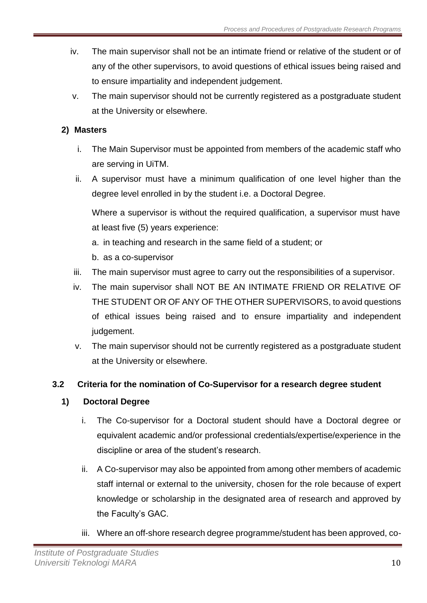- iv. The main supervisor shall not be an intimate friend or relative of the student or of any of the other supervisors, to avoid questions of ethical issues being raised and to ensure impartiality and independent judgement.
- v. The main supervisor should not be currently registered as a postgraduate student at the University or elsewhere.

# **2) Masters**

- i. The Main Supervisor must be appointed from members of the academic staff who are serving in UiTM.
- ii. A supervisor must have a minimum qualification of one level higher than the degree level enrolled in by the student i.e. a Doctoral Degree.

Where a supervisor is without the required qualification, a supervisor must have at least five (5) years experience:

- a. in teaching and research in the same field of a student; or
- b. as a co-supervisor
- iii. The main supervisor must agree to carry out the responsibilities of a supervisor.
- iv. The main supervisor shall NOT BE AN INTIMATE FRIEND OR RELATIVE OF THE STUDENT OR OF ANY OF THE OTHER SUPERVISORS, to avoid questions of ethical issues being raised and to ensure impartiality and independent judgement.
- v. The main supervisor should not be currently registered as a postgraduate student at the University or elsewhere.

# <span id="page-9-0"></span>**3.2 Criteria for the nomination of Co-Supervisor for a research degree student**

# **1) Doctoral Degree**

- i. The Co-supervisor for a Doctoral student should have a Doctoral degree or equivalent academic and/or professional credentials/expertise/experience in the discipline or area of the student's research.
- ii. A Co-supervisor may also be appointed from among other members of academic staff internal or external to the university, chosen for the role because of expert knowledge or scholarship in the designated area of research and approved by the Faculty's GAC.
- iii. Where an off-shore research degree programme/student has been approved, co-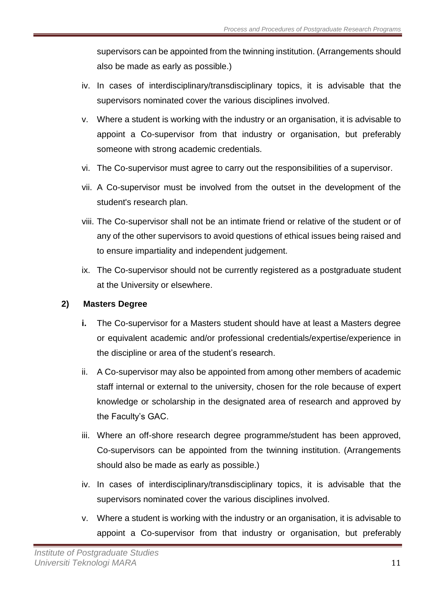supervisors can be appointed from the twinning institution. (Arrangements should also be made as early as possible.)

- iv. In cases of interdisciplinary/transdisciplinary topics, it is advisable that the supervisors nominated cover the various disciplines involved.
- v. Where a student is working with the industry or an organisation, it is advisable to appoint a Co-supervisor from that industry or organisation, but preferably someone with strong academic credentials.
- vi. The Co-supervisor must agree to carry out the responsibilities of a supervisor.
- vii. A Co-supervisor must be involved from the outset in the development of the student's research plan.
- viii. The Co-supervisor shall not be an intimate friend or relative of the student or of any of the other supervisors to avoid questions of ethical issues being raised and to ensure impartiality and independent judgement.
- ix. The Co-supervisor should not be currently registered as a postgraduate student at the University or elsewhere.

### **2) Masters Degree**

- **i.** The Co-supervisor for a Masters student should have at least a Masters degree or equivalent academic and/or professional credentials/expertise/experience in the discipline or area of the student's research.
- ii. A Co-supervisor may also be appointed from among other members of academic staff internal or external to the university, chosen for the role because of expert knowledge or scholarship in the designated area of research and approved by the Faculty's GAC.
- iii. Where an off-shore research degree programme/student has been approved, Co-supervisors can be appointed from the twinning institution. (Arrangements should also be made as early as possible.)
- iv. In cases of interdisciplinary/transdisciplinary topics, it is advisable that the supervisors nominated cover the various disciplines involved.
- v. Where a student is working with the industry or an organisation, it is advisable to appoint a Co-supervisor from that industry or organisation, but preferably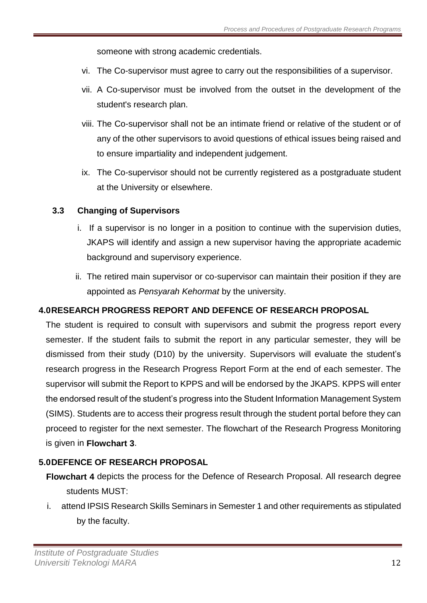someone with strong academic credentials.

- vi. The Co-supervisor must agree to carry out the responsibilities of a supervisor.
- vii. A Co-supervisor must be involved from the outset in the development of the student's research plan.
- viii. The Co-supervisor shall not be an intimate friend or relative of the student or of any of the other supervisors to avoid questions of ethical issues being raised and to ensure impartiality and independent judgement.
- ix. The Co-supervisor should not be currently registered as a postgraduate student at the University or elsewhere.

### <span id="page-11-0"></span>**3.3 Changing of Supervisors**

- i. If a supervisor is no longer in a position to continue with the supervision duties, JKAPS will identify and assign a new supervisor having the appropriate academic background and supervisory experience.
- ii. The retired main supervisor or co-supervisor can maintain their position if they are appointed as *Pensyarah Kehormat* by the university.

### <span id="page-11-1"></span>**4.0RESEARCH PROGRESS REPORT AND DEFENCE OF RESEARCH PROPOSAL**

The student is required to consult with supervisors and submit the progress report every semester. If the student fails to submit the report in any particular semester, they will be dismissed from their study (D10) by the university. Supervisors will evaluate the student's research progress in the Research Progress Report Form at the end of each semester. The supervisor will submit the Report to KPPS and will be endorsed by the JKAPS. KPPS will enter the endorsed result of the student's progress into the Student Information Management System (SIMS). Students are to access their progress result through the student portal before they can proceed to register for the next semester. The flowchart of the Research Progress Monitoring is given in **Flowchart 3**.

# <span id="page-11-2"></span>**5.0DEFENCE OF RESEARCH PROPOSAL**

- **Flowchart 4** depicts the process for the Defence of Research Proposal. All research degree students MUST:
- i. attend IPSIS Research Skills Seminars in Semester 1 and other requirements as stipulated by the faculty.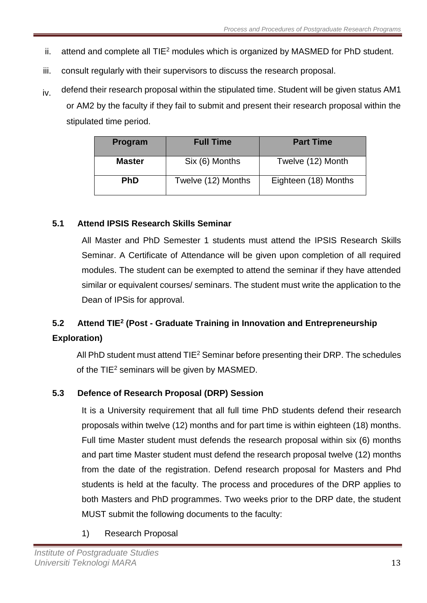- ii. attend and complete all  $TIE<sup>2</sup>$  modules which is organized by MASMED for PhD student.
- iii. consult regularly with their supervisors to discuss the research proposal.
- $iv$  defend their research proposal within the stipulated time. Student will be given status AM1 or AM2 by the faculty if they fail to submit and present their research proposal within the stipulated time period.

| Program       | <b>Full Time</b>   | <b>Part Time</b>     |
|---------------|--------------------|----------------------|
| <b>Master</b> | Six (6) Months     | Twelve (12) Month    |
| <b>PhD</b>    | Twelve (12) Months | Eighteen (18) Months |

# <span id="page-12-0"></span>**5.1 Attend IPSIS Research Skills Seminar**

All Master and PhD Semester 1 students must attend the IPSIS Research Skills Seminar. A Certificate of Attendance will be given upon completion of all required modules. The student can be exempted to attend the seminar if they have attended similar or equivalent courses/ seminars. The student must write the application to the Dean of IPSis for approval.

# <span id="page-12-1"></span>**5.2 Attend TIE<sup>2</sup> (Post - Graduate Training in Innovation and Entrepreneurship Exploration)**

All PhD student must attend  $TIE^2$  Seminar before presenting their DRP. The schedules of the TIE<sup>2</sup> seminars will be given by MASMED.

# <span id="page-12-2"></span>**5.3 Defence of Research Proposal (DRP) Session**

It is a University requirement that all full time PhD students defend their research proposals within twelve (12) months and for part time is within eighteen (18) months. Full time Master student must defends the research proposal within six (6) months and part time Master student must defend the research proposal twelve (12) months from the date of the registration. Defend research proposal for Masters and Phd students is held at the faculty. The process and procedures of the DRP applies to both Masters and PhD programmes. Two weeks prior to the DRP date, the student MUST submit the following documents to the faculty:

1) Research Proposal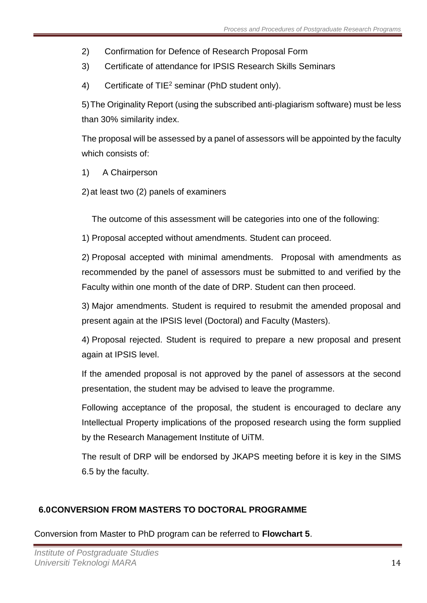- 2) Confirmation for Defence of Research Proposal Form
- 3) Certificate of attendance for IPSIS Research Skills Seminars
- 4) Certificate of TIE<sup>2</sup> seminar (PhD student only).

5)The Originality Report (using the subscribed anti-plagiarism software) must be less than 30% similarity index.

The proposal will be assessed by a panel of assessors will be appointed by the faculty which consists of:

- 1) A Chairperson
- 2)at least two (2) panels of examiners

The outcome of this assessment will be categories into one of the following:

1) Proposal accepted without amendments. Student can proceed.

2) Proposal accepted with minimal amendments. Proposal with amendments as recommended by the panel of assessors must be submitted to and verified by the Faculty within one month of the date of DRP. Student can then proceed.

3) Major amendments. Student is required to resubmit the amended proposal and present again at the IPSIS level (Doctoral) and Faculty (Masters).

4) Proposal rejected. Student is required to prepare a new proposal and present again at IPSIS level.

If the amended proposal is not approved by the panel of assessors at the second presentation, the student may be advised to leave the programme.

Following acceptance of the proposal, the student is encouraged to declare any Intellectual Property implications of the proposed research using the form supplied by the Research Management Institute of UiTM.

The result of DRP will be endorsed by JKAPS meeting before it is key in the SIMS 6.5 by the faculty.

# <span id="page-13-0"></span>**6.0CONVERSION FROM MASTERS TO DOCTORAL PROGRAMME**

Conversion from Master to PhD program can be referred to **Flowchart 5**.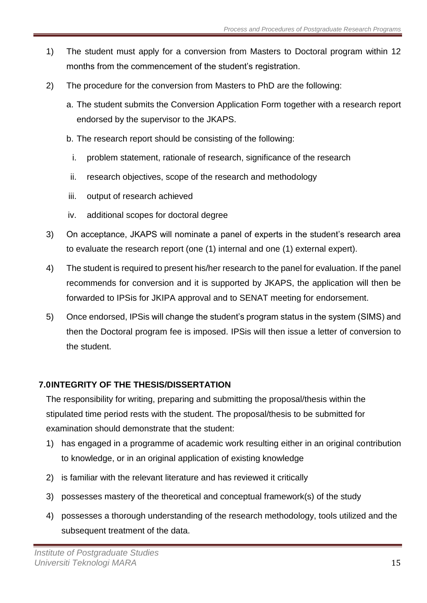- 1) The student must apply for a conversion from Masters to Doctoral program within 12 months from the commencement of the student's registration.
- 2) The procedure for the conversion from Masters to PhD are the following:
	- a. The student submits the Conversion Application Form together with a research report endorsed by the supervisor to the JKAPS.
	- b. The research report should be consisting of the following:
		- i. problem statement, rationale of research, significance of the research
	- ii. research objectives, scope of the research and methodology
	- iii. output of research achieved
	- iv. additional scopes for doctoral degree
- 3) On acceptance, JKAPS will nominate a panel of experts in the student's research area to evaluate the research report (one (1) internal and one (1) external expert).
- 4) The student is required to present his/her research to the panel for evaluation. If the panel recommends for conversion and it is supported by JKAPS, the application will then be forwarded to IPSis for JKIPA approval and to SENAT meeting for endorsement.
- 5) Once endorsed, IPSis will change the student's program status in the system (SIMS) and then the Doctoral program fee is imposed. IPSis will then issue a letter of conversion to the student.

# <span id="page-14-0"></span>**7.0INTEGRITY OF THE THESIS/DISSERTATION**

The responsibility for writing, preparing and submitting the proposal/thesis within the stipulated time period rests with the student. The proposal/thesis to be submitted for examination should demonstrate that the student:

- 1) has engaged in a programme of academic work resulting either in an original contribution to knowledge, or in an original application of existing knowledge
- 2) is familiar with the relevant literature and has reviewed it critically
- 3) possesses mastery of the theoretical and conceptual framework(s) of the study
- 4) possesses a thorough understanding of the research methodology, tools utilized and the subsequent treatment of the data.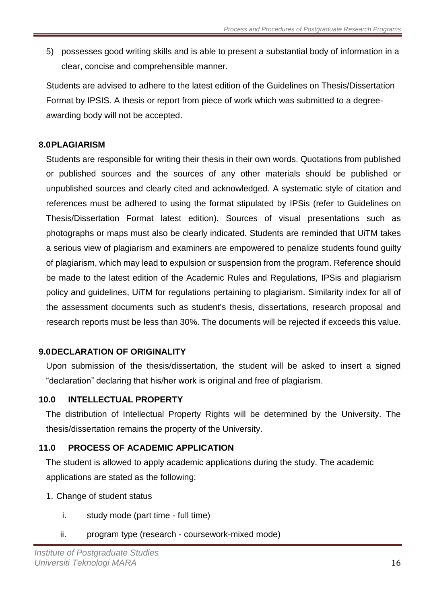5) possesses good writing skills and is able to present a substantial body of information in a clear, concise and comprehensible manner.

Students are advised to adhere to the latest edition of the Guidelines on Thesis/Dissertation Format by IPSIS. A thesis or report from piece of work which was submitted to a degreeawarding body will not be accepted.

### <span id="page-15-0"></span>**8.0PLAGIARISM**

Students are responsible for writing their thesis in their own words. Quotations from published or published sources and the sources of any other materials should be published or unpublished sources and clearly cited and acknowledged. A systematic style of citation and references must be adhered to using the format stipulated by IPSis (refer to Guidelines on Thesis/Dissertation Format latest edition). Sources of visual presentations such as photographs or maps must also be clearly indicated. Students are reminded that UiTM takes a serious view of plagiarism and examiners are empowered to penalize students found guilty of plagiarism, which may lead to expulsion or suspension from the program. Reference should be made to the latest edition of the Academic Rules and Regulations, IPSis and plagiarism policy and guidelines, UiTM for regulations pertaining to plagiarism. Similarity index for all of the assessment documents such as student's thesis, dissertations, research proposal and research reports must be less than 30%. The documents will be rejected if exceeds this value.

# <span id="page-15-1"></span>**9.0DECLARATION OF ORIGINALITY**

Upon submission of the thesis/dissertation, the student will be asked to insert a signed "declaration" declaring that his/her work is original and free of plagiarism.

### <span id="page-15-2"></span>**10.0 INTELLECTUAL PROPERTY**

The distribution of Intellectual Property Rights will be determined by the University. The thesis/dissertation remains the property of the University.

# <span id="page-15-3"></span>**11.0 PROCESS OF ACADEMIC APPLICATION**

The student is allowed to apply academic applications during the study. The academic applications are stated as the following:

- 1. Change of student status
	- i. study mode (part time full time)
	- ii. program type (research coursework-mixed mode)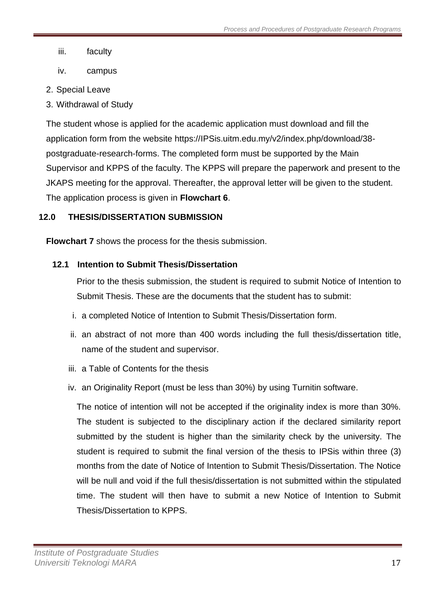- iii. faculty
- iv. campus
- 2. Special Leave
- 3. Withdrawal of Study

The student whose is applied for the academic application must download and fill the application form from the website https://IPSis.uitm.edu.my/v2/index.php/download/38 postgraduate-research-forms. The completed form must be supported by the Main Supervisor and KPPS of the faculty. The KPPS will prepare the paperwork and present to the JKAPS meeting for the approval. Thereafter, the approval letter will be given to the student. The application process is given in **Flowchart 6**.

# <span id="page-16-0"></span>**12.0 THESIS/DISSERTATION SUBMISSION**

<span id="page-16-1"></span>**Flowchart 7** shows the process for the thesis submission.

# **12.1 Intention to Submit Thesis/Dissertation**

Prior to the thesis submission, the student is required to submit Notice of Intention to Submit Thesis. These are the documents that the student has to submit:

- i. a completed Notice of Intention to Submit Thesis/Dissertation form.
- ii. an abstract of not more than 400 words including the full thesis/dissertation title, name of the student and supervisor.
- iii. a Table of Contents for the thesis
- iv. an Originality Report (must be less than 30%) by using Turnitin software.

The notice of intention will not be accepted if the originality index is more than 30%. The student is subjected to the disciplinary action if the declared similarity report submitted by the student is higher than the similarity check by the university. The student is required to submit the final version of the thesis to IPSis within three (3) months from the date of Notice of Intention to Submit Thesis/Dissertation. The Notice will be null and void if the full thesis/dissertation is not submitted within the stipulated time. The student will then have to submit a new Notice of Intention to Submit Thesis/Dissertation to KPPS.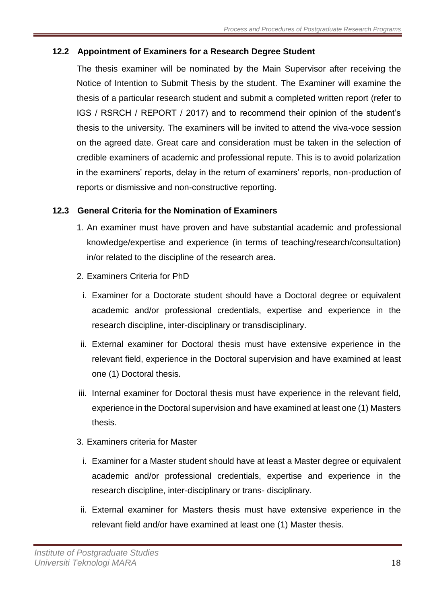# <span id="page-17-0"></span>**12.2 Appointment of Examiners for a Research Degree Student**

The thesis examiner will be nominated by the Main Supervisor after receiving the Notice of Intention to Submit Thesis by the student. The Examiner will examine the thesis of a particular research student and submit a completed written report (refer to IGS / RSRCH / REPORT / 2017) and to recommend their opinion of the student's thesis to the university. The examiners will be invited to attend the viva-voce session on the agreed date. Great care and consideration must be taken in the selection of credible examiners of academic and professional repute. This is to avoid polarization in the examiners' reports, delay in the return of examiners' reports, non-production of reports or dismissive and non-constructive reporting.

### <span id="page-17-1"></span>**12.3 General Criteria for the Nomination of Examiners**

- 1. An examiner must have proven and have substantial academic and professional knowledge/expertise and experience (in terms of teaching/research/consultation) in/or related to the discipline of the research area.
- 2. Examiners Criteria for PhD
	- i. Examiner for a Doctorate student should have a Doctoral degree or equivalent academic and/or professional credentials, expertise and experience in the research discipline, inter-disciplinary or transdisciplinary.
- ii. External examiner for Doctoral thesis must have extensive experience in the relevant field, experience in the Doctoral supervision and have examined at least one (1) Doctoral thesis.
- iii. Internal examiner for Doctoral thesis must have experience in the relevant field, experience in the Doctoral supervision and have examined at least one (1) Masters thesis.
- 3. Examiners criteria for Master
	- i. Examiner for a Master student should have at least a Master degree or equivalent academic and/or professional credentials, expertise and experience in the research discipline, inter-disciplinary or trans- disciplinary.
- ii. External examiner for Masters thesis must have extensive experience in the relevant field and/or have examined at least one (1) Master thesis.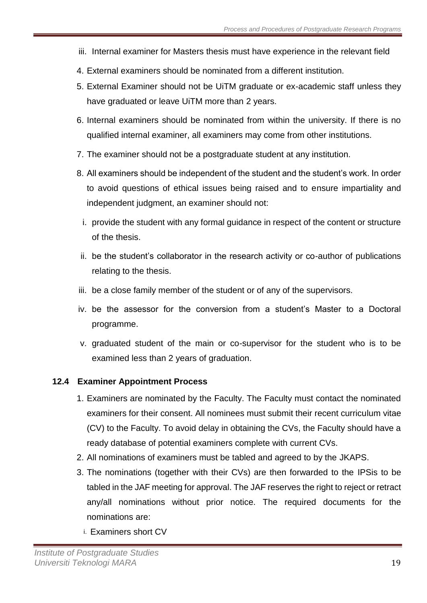- iii. Internal examiner for Masters thesis must have experience in the relevant field
- 4. External examiners should be nominated from a different institution.
- 5. External Examiner should not be UiTM graduate or ex-academic staff unless they have graduated or leave UiTM more than 2 years.
- 6. Internal examiners should be nominated from within the university. If there is no qualified internal examiner, all examiners may come from other institutions.
- 7. The examiner should not be a postgraduate student at any institution.
- 8. All examiners should be independent of the student and the student's work. In order to avoid questions of ethical issues being raised and to ensure impartiality and independent judgment, an examiner should not:
	- i. provide the student with any formal guidance in respect of the content or structure of the thesis.
- ii. be the student's collaborator in the research activity or co-author of publications relating to the thesis.
- iii. be a close family member of the student or of any of the supervisors.
- iv. be the assessor for the conversion from a student's Master to a Doctoral programme.
- v. graduated student of the main or co-supervisor for the student who is to be examined less than 2 years of graduation.

# <span id="page-18-0"></span>**12.4 Examiner Appointment Process**

- 1. Examiners are nominated by the Faculty. The Faculty must contact the nominated examiners for their consent. All nominees must submit their recent curriculum vitae (CV) to the Faculty. To avoid delay in obtaining the CVs, the Faculty should have a ready database of potential examiners complete with current CVs.
- 2. All nominations of examiners must be tabled and agreed to by the JKAPS.
- 3. The nominations (together with their CVs) are then forwarded to the IPSis to be tabled in the JAF meeting for approval. The JAF reserves the right to reject or retract any/all nominations without prior notice. The required documents for the nominations are:
	- i. Examiners short CV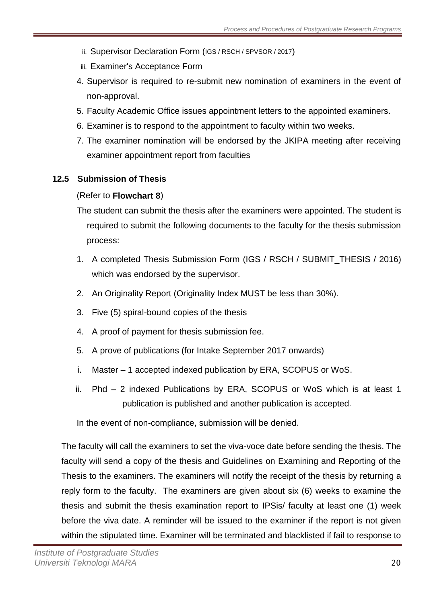- ii. Supervisor Declaration Form (IGS / RSCH / SPVSOR / 2017)
- iii. Examiner's Acceptance Form
- 4. Supervisor is required to re-submit new nomination of examiners in the event of non-approval.
- 5. Faculty Academic Office issues appointment letters to the appointed examiners.
- 6. Examiner is to respond to the appointment to faculty within two weeks.
- 7. The examiner nomination will be endorsed by the JKIPA meeting after receiving examiner appointment report from faculties

# <span id="page-19-0"></span>**12.5 Submission of Thesis**

# (Refer to **Flowchart 8**)

The student can submit the thesis after the examiners were appointed. The student is required to submit the following documents to the faculty for the thesis submission process:

- 1. A completed Thesis Submission Form (IGS / RSCH / SUBMIT\_THESIS / 2016) which was endorsed by the supervisor.
- 2. An Originality Report (Originality Index MUST be less than 30%).
- 3. Five (5) spiral-bound copies of the thesis
- 4. A proof of payment for thesis submission fee.
- 5. A prove of publications (for Intake September 2017 onwards)
- i. Master 1 accepted indexed publication by ERA, SCOPUS or WoS.
- ii. Phd 2 indexed Publications by ERA, SCOPUS or WoS which is at least 1 publication is published and another publication is accepted.

In the event of non-compliance, submission will be denied.

The faculty will call the examiners to set the viva-voce date before sending the thesis. The faculty will send a copy of the thesis and Guidelines on Examining and Reporting of the Thesis to the examiners. The examiners will notify the receipt of the thesis by returning a reply form to the faculty. The examiners are given about six (6) weeks to examine the thesis and submit the thesis examination report to IPSis/ faculty at least one (1) week before the viva date. A reminder will be issued to the examiner if the report is not given within the stipulated time. Examiner will be terminated and blacklisted if fail to response to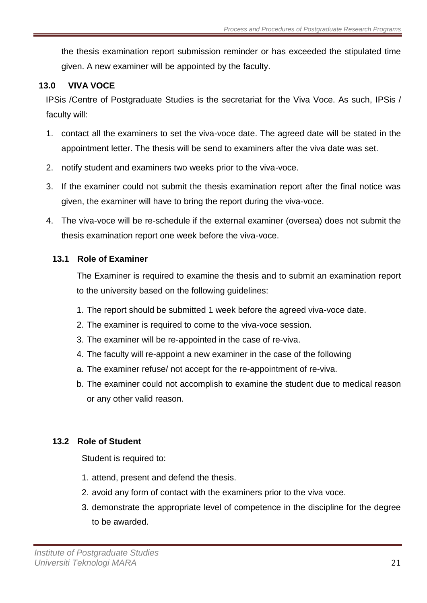the thesis examination report submission reminder or has exceeded the stipulated time given. A new examiner will be appointed by the faculty.

# <span id="page-20-0"></span>**13.0 VIVA VOCE**

IPSis /Centre of Postgraduate Studies is the secretariat for the Viva Voce. As such, IPSis / faculty will:

- 1. contact all the examiners to set the viva-voce date. The agreed date will be stated in the appointment letter. The thesis will be send to examiners after the viva date was set.
- 2. notify student and examiners two weeks prior to the viva-voce.
- 3. If the examiner could not submit the thesis examination report after the final notice was given, the examiner will have to bring the report during the viva-voce.
- 4. The viva-voce will be re-schedule if the external examiner (oversea) does not submit the thesis examination report one week before the viva-voce.

### <span id="page-20-1"></span>**13.1 Role of Examiner**

The Examiner is required to examine the thesis and to submit an examination report to the university based on the following guidelines:

- 1. The report should be submitted 1 week before the agreed viva-voce date.
- 2. The examiner is required to come to the viva-voce session.
- 3. The examiner will be re-appointed in the case of re-viva.
- 4. The faculty will re-appoint a new examiner in the case of the following
- a. The examiner refuse/ not accept for the re-appointment of re-viva.
- b. The examiner could not accomplish to examine the student due to medical reason or any other valid reason.

### <span id="page-20-2"></span>**13.2 Role of Student**

Student is required to:

- 1. attend, present and defend the thesis.
- 2. avoid any form of contact with the examiners prior to the viva voce.
- 3. demonstrate the appropriate level of competence in the discipline for the degree to be awarded.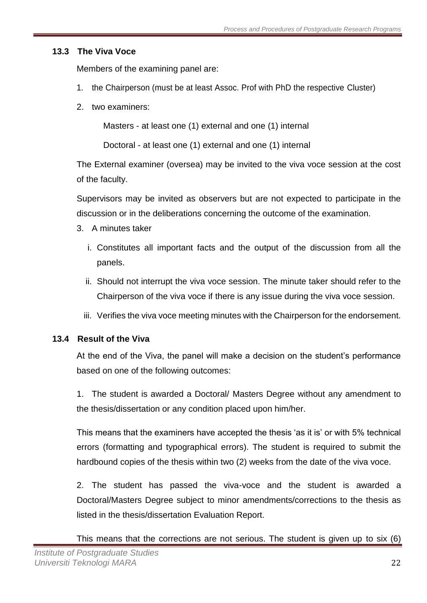# <span id="page-21-0"></span>**13.3 The Viva Voce**

Members of the examining panel are:

- 1. the Chairperson (must be at least Assoc. Prof with PhD the respective Cluster)
- 2. two examiners:

Masters - at least one (1) external and one (1) internal

Doctoral - at least one (1) external and one (1) internal

The External examiner (oversea) may be invited to the viva voce session at the cost of the faculty.

Supervisors may be invited as observers but are not expected to participate in the discussion or in the deliberations concerning the outcome of the examination.

- 3. A minutes taker
	- i. Constitutes all important facts and the output of the discussion from all the panels.
	- ii. Should not interrupt the viva voce session. The minute taker should refer to the Chairperson of the viva voce if there is any issue during the viva voce session.
	- iii. Verifies the viva voce meeting minutes with the Chairperson for the endorsement.

# <span id="page-21-1"></span>**13.4 Result of the Viva**

At the end of the Viva, the panel will make a decision on the student's performance based on one of the following outcomes:

1. The student is awarded a Doctoral/ Masters Degree without any amendment to the thesis/dissertation or any condition placed upon him/her.

This means that the examiners have accepted the thesis 'as it is' or with 5% technical errors (formatting and typographical errors). The student is required to submit the hardbound copies of the thesis within two (2) weeks from the date of the viva voce.

2. The student has passed the viva-voce and the student is awarded a Doctoral/Masters Degree subject to minor amendments/corrections to the thesis as listed in the thesis/dissertation Evaluation Report.

This means that the corrections are not serious. The student is given up to six (6)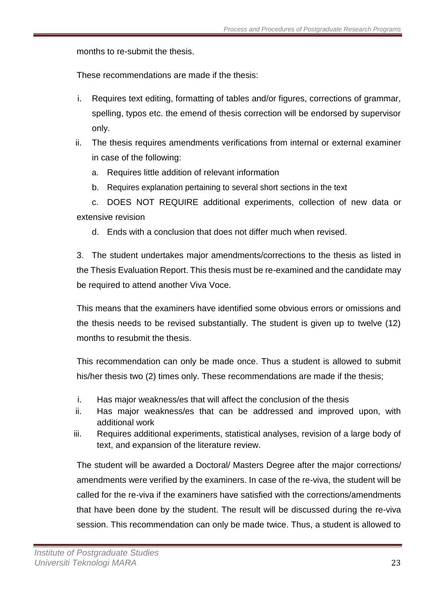months to re-submit the thesis.

These recommendations are made if the thesis:

- i. Requires text editing, formatting of tables and/or figures, corrections of grammar, spelling, typos etc. the emend of thesis correction will be endorsed by supervisor only.
- ii. The thesis requires amendments verifications from internal or external examiner in case of the following:
	- a. Requires little addition of relevant information
	- b. Requires explanation pertaining to several short sections in the text

c. DOES NOT REQUIRE additional experiments, collection of new data or extensive revision

d. Ends with a conclusion that does not differ much when revised.

3. The student undertakes major amendments/corrections to the thesis as listed in the Thesis Evaluation Report. This thesis must be re-examined and the candidate may be required to attend another Viva Voce.

This means that the examiners have identified some obvious errors or omissions and the thesis needs to be revised substantially. The student is given up to twelve (12) months to resubmit the thesis.

This recommendation can only be made once. Thus a student is allowed to submit his/her thesis two (2) times only. These recommendations are made if the thesis;

- i. Has major weakness/es that will affect the conclusion of the thesis
- ii. Has major weakness/es that can be addressed and improved upon, with additional work
- iii. Requires additional experiments, statistical analyses, revision of a large body of text, and expansion of the literature review.

The student will be awarded a Doctoral/ Masters Degree after the major corrections/ amendments were verified by the examiners. In case of the re-viva, the student will be called for the re-viva if the examiners have satisfied with the corrections/amendments that have been done by the student. The result will be discussed during the re-viva session. This recommendation can only be made twice. Thus, a student is allowed to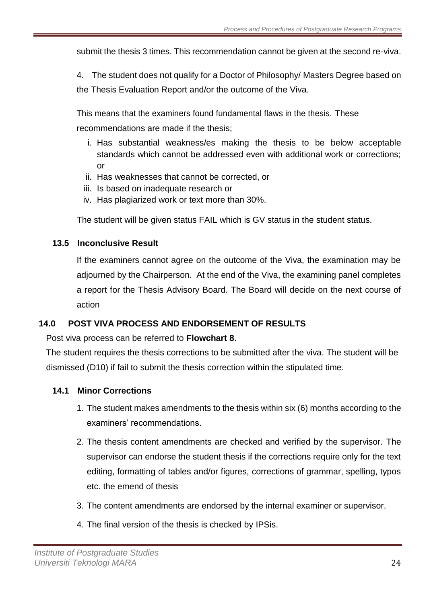submit the thesis 3 times. This recommendation cannot be given at the second re-viva.

4. The student does not qualify for a Doctor of Philosophy/ Masters Degree based on the Thesis Evaluation Report and/or the outcome of the Viva.

This means that the examiners found fundamental flaws in the thesis. These recommendations are made if the thesis;

- i. Has substantial weakness/es making the thesis to be below acceptable standards which cannot be addressed even with additional work or corrections; or
- ii. Has weaknesses that cannot be corrected, or
- iii. Is based on inadequate research or
- iv. Has plagiarized work or text more than 30%.

The student will be given status FAIL which is GV status in the student status.

### <span id="page-23-0"></span>**13.5 Inconclusive Result**

If the examiners cannot agree on the outcome of the Viva, the examination may be adjourned by the Chairperson. At the end of the Viva, the examining panel completes a report for the Thesis Advisory Board. The Board will decide on the next course of action

# <span id="page-23-1"></span>**14.0 POST VIVA PROCESS AND ENDORSEMENT OF RESULTS**

Post viva process can be referred to **Flowchart 8**.

The student requires the thesis corrections to be submitted after the viva. The student will be dismissed (D10) if fail to submit the thesis correction within the stipulated time.

### <span id="page-23-2"></span>**14.1 Minor Corrections**

- 1. The student makes amendments to the thesis within six (6) months according to the examiners' recommendations.
- 2. The thesis content amendments are checked and verified by the supervisor. The supervisor can endorse the student thesis if the corrections require only for the text editing, formatting of tables and/or figures, corrections of grammar, spelling, typos etc. the emend of thesis
- 3. The content amendments are endorsed by the internal examiner or supervisor.
- 4. The final version of the thesis is checked by IPSis.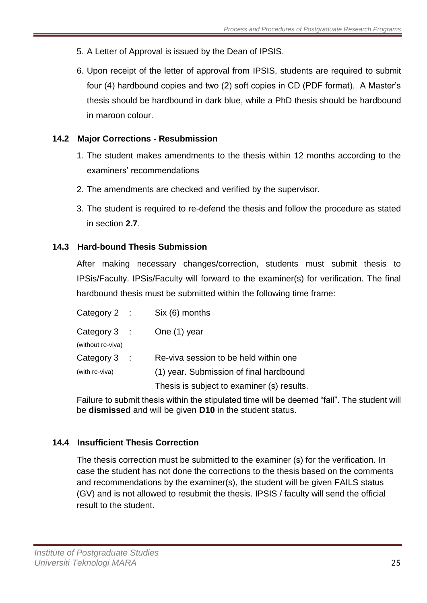- 5. A Letter of Approval is issued by the Dean of IPSIS.
- 6. Upon receipt of the letter of approval from IPSIS, students are required to submit four (4) hardbound copies and two (2) soft copies in CD (PDF format). A Master's thesis should be hardbound in dark blue, while a PhD thesis should be hardbound in maroon colour.

# <span id="page-24-0"></span>**14.2 Major Corrections - Resubmission**

- 1. The student makes amendments to the thesis within 12 months according to the examiners' recommendations
- 2. The amendments are checked and verified by the supervisor.
- 3. The student is required to re-defend the thesis and follow the procedure as stated in section **2.7**.

# **14.3 Hard-bound Thesis Submission**

After making necessary changes/correction, students must submit thesis to IPSis/Faculty. IPSis/Faculty will forward to the examiner(s) for verification. The final hardbound thesis must be submitted within the following time frame:

| Category $2$ :                      | Six (6) months                             |
|-------------------------------------|--------------------------------------------|
| Category $3$ :<br>(without re-viva) | One (1) year                               |
| Category $3$ :                      | Re-viva session to be held within one      |
| (with re-viva)                      | (1) year. Submission of final hardbound    |
|                                     | Thesis is subject to examiner (s) results. |

Failure to submit thesis within the stipulated time will be deemed "fail". The student will be **dismissed** and will be given **D10** in the student status.

# **14.4 Insufficient Thesis Correction**

The thesis correction must be submitted to the examiner (s) for the verification. In case the student has not done the corrections to the thesis based on the comments and recommendations by the examiner(s), the student will be given FAILS status (GV) and is not allowed to resubmit the thesis. IPSIS / faculty will send the official result to the student.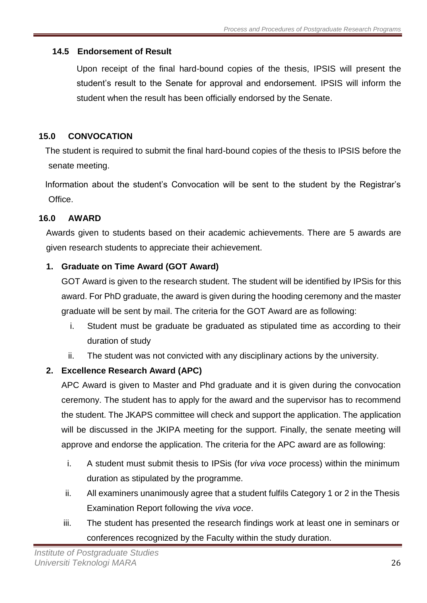# <span id="page-25-0"></span>**14.5 Endorsement of Result**

Upon receipt of the final hard-bound copies of the thesis, IPSIS will present the student's result to the Senate for approval and endorsement. IPSIS will inform the student when the result has been officially endorsed by the Senate.

# <span id="page-25-1"></span>**15.0 CONVOCATION**

The student is required to submit the final hard-bound copies of the thesis to IPSIS before the senate meeting.

Information about the student's Convocation will be sent to the student by the Registrar's Office.

# <span id="page-25-2"></span>**16.0 AWARD**

Awards given to students based on their academic achievements. There are 5 awards are given research students to appreciate their achievement.

# **1. Graduate on Time Award (GOT Award)**

GOT Award is given to the research student. The student will be identified by IPSis for this award. For PhD graduate, the award is given during the hooding ceremony and the master graduate will be sent by mail. The criteria for the GOT Award are as following:

- i. Student must be graduate be graduated as stipulated time as according to their duration of study
- ii. The student was not convicted with any disciplinary actions by the university.

# **2. Excellence Research Award (APC)**

APC Award is given to Master and Phd graduate and it is given during the convocation ceremony. The student has to apply for the award and the supervisor has to recommend the student. The JKAPS committee will check and support the application. The application will be discussed in the JKIPA meeting for the support. Finally, the senate meeting will approve and endorse the application. The criteria for the APC award are as following:

- i. A student must submit thesis to IPSis (for *viva voce* process) within the minimum duration as stipulated by the programme.
- ii. All examiners unanimously agree that a student fulfils Category 1 or 2 in the Thesis Examination Report following the *viva voce*.
- iii. The student has presented the research findings work at least one in seminars or conferences recognized by the Faculty within the study duration.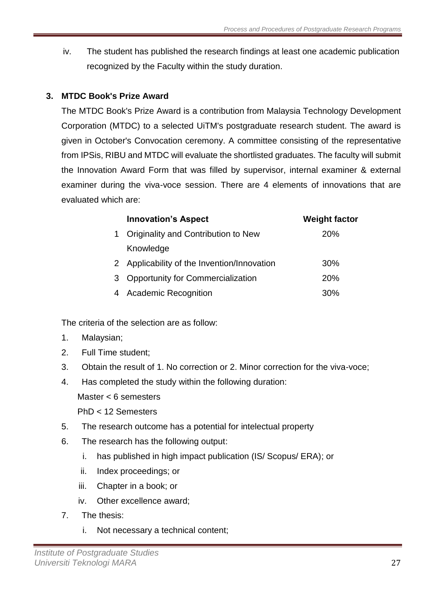iv. The student has published the research findings at least one academic publication recognized by the Faculty within the study duration.

# **3. MTDC Book's Prize Award**

The MTDC Book's Prize Award is a contribution from Malaysia Technology Development Corporation (MTDC) to a selected UiTM's postgraduate research student. The award is given in October's Convocation ceremony. A committee consisting of the representative from IPSis, RIBU and MTDC will evaluate the shortlisted graduates. The faculty will submit the Innovation Award Form that was filled by supervisor, internal examiner & external examiner during the viva-voce session. There are 4 elements of innovations that are evaluated which are:

|   | <b>Innovation's Aspect</b>                  | <b>Weight factor</b> |
|---|---------------------------------------------|----------------------|
|   | Originality and Contribution to New         | 20%                  |
|   | Knowledge                                   |                      |
|   | 2 Applicability of the Invention/Innovation | 30%                  |
| 3 | <b>Opportunity for Commercialization</b>    | 20%                  |
|   | <b>Academic Recognition</b>                 | 30%                  |

The criteria of the selection are as follow:

- 1. Malaysian;
- 2. Full Time student;
- 3. Obtain the result of 1. No correction or 2. Minor correction for the viva-voce;
- 4. Has completed the study within the following duration:

Master < 6 semesters

PhD < 12 Semesters

- 5. The research outcome has a potential for intelectual property
- 6. The research has the following output:
	- i. has published in high impact publication (IS/ Scopus/ ERA); or
	- ii. Index proceedings; or
	- iii. Chapter in a book; or
	- iv. Other excellence award;
- 7. The thesis:
	- i. Not necessary a technical content;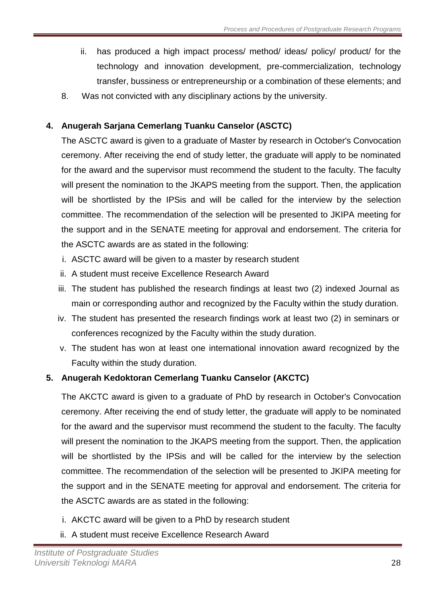- ii. has produced a high impact process/ method/ ideas/ policy/ product/ for the technology and innovation development, pre-commercialization, technology transfer, bussiness or entrepreneurship or a combination of these elements; and
- 8. Was not convicted with any disciplinary actions by the university.

# **4. Anugerah Sarjana Cemerlang Tuanku Canselor (ASCTC)**

The ASCTC award is given to a graduate of Master by research in October's Convocation ceremony. After receiving the end of study letter, the graduate will apply to be nominated for the award and the supervisor must recommend the student to the faculty. The faculty will present the nomination to the JKAPS meeting from the support. Then, the application will be shortlisted by the IPS is and will be called for the interview by the selection committee. The recommendation of the selection will be presented to JKIPA meeting for the support and in the SENATE meeting for approval and endorsement. The criteria for the ASCTC awards are as stated in the following:

- i. ASCTC award will be given to a master by research student
- ii. A student must receive Excellence Research Award
- iii. The student has published the research findings at least two (2) indexed Journal as main or corresponding author and recognized by the Faculty within the study duration.
- iv. The student has presented the research findings work at least two (2) in seminars or conferences recognized by the Faculty within the study duration.
- v. The student has won at least one international innovation award recognized by the Faculty within the study duration.

# **5. Anugerah Kedoktoran Cemerlang Tuanku Canselor (AKCTC)**

The AKCTC award is given to a graduate of PhD by research in October's Convocation ceremony. After receiving the end of study letter, the graduate will apply to be nominated for the award and the supervisor must recommend the student to the faculty. The faculty will present the nomination to the JKAPS meeting from the support. Then, the application will be shortlisted by the IPSis and will be called for the interview by the selection committee. The recommendation of the selection will be presented to JKIPA meeting for the support and in the SENATE meeting for approval and endorsement. The criteria for the ASCTC awards are as stated in the following:

- i. AKCTC award will be given to a PhD by research student
- ii. A student must receive Excellence Research Award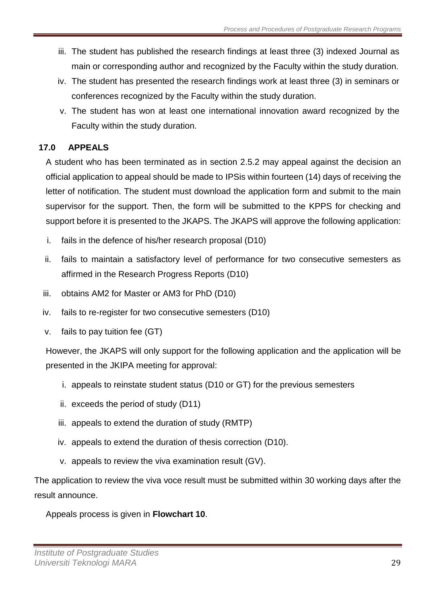- iii. The student has published the research findings at least three (3) indexed Journal as main or corresponding author and recognized by the Faculty within the study duration.
- iv. The student has presented the research findings work at least three (3) in seminars or conferences recognized by the Faculty within the study duration.
- v. The student has won at least one international innovation award recognized by the Faculty within the study duration.

# <span id="page-28-0"></span>**17.0 APPEALS**

A student who has been terminated as in section 2.5.2 may appeal against the decision an official application to appeal should be made to IPSis within fourteen (14) days of receiving the letter of notification. The student must download the application form and submit to the main supervisor for the support. Then, the form will be submitted to the KPPS for checking and support before it is presented to the JKAPS. The JKAPS will approve the following application:

- i. fails in the defence of his/her research proposal (D10)
- ii. fails to maintain a satisfactory level of performance for two consecutive semesters as affirmed in the Research Progress Reports (D10)
- iii. obtains AM2 for Master or AM3 for PhD (D10)
- iv. fails to re-register for two consecutive semesters (D10)
- v. fails to pay tuition fee (GT)

However, the JKAPS will only support for the following application and the application will be presented in the JKIPA meeting for approval:

- i. appeals to reinstate student status (D10 or GT) for the previous semesters
- ii. exceeds the period of study (D11)
- iii. appeals to extend the duration of study (RMTP)
- iv. appeals to extend the duration of thesis correction (D10).
- v. appeals to review the viva examination result (GV).

The application to review the viva voce result must be submitted within 30 working days after the result announce.

Appeals process is given in **Flowchart 10**.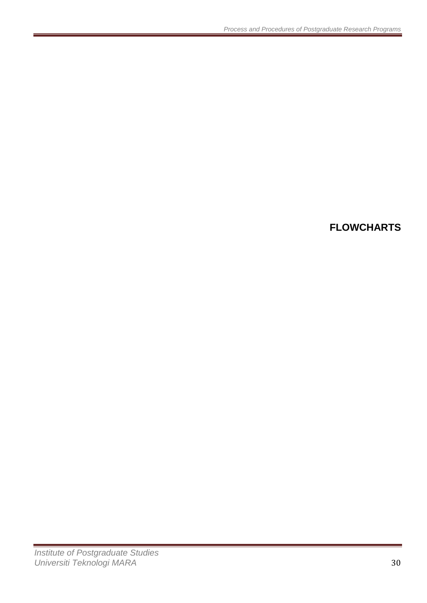# <span id="page-29-0"></span>**FLOWCHARTS**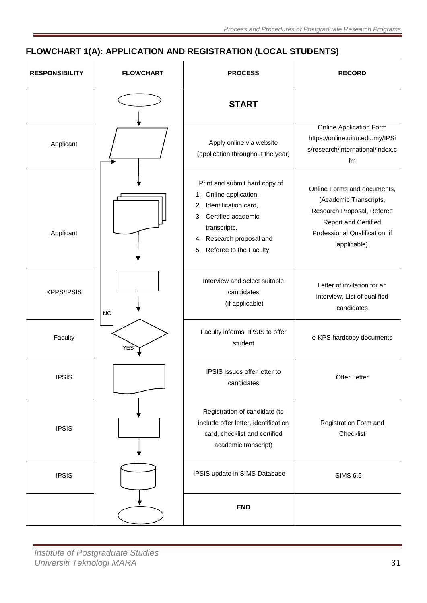# <span id="page-30-0"></span>**FLOWCHART 1(A): APPLICATION AND REGISTRATION (LOCAL STUDENTS)**

| <b>RESPONSIBILITY</b> | <b>FLOWCHART</b> | <b>PROCESS</b>                                                                                                                                                                        | <b>RECORD</b>                                                                                                                                                       |
|-----------------------|------------------|---------------------------------------------------------------------------------------------------------------------------------------------------------------------------------------|---------------------------------------------------------------------------------------------------------------------------------------------------------------------|
|                       |                  | <b>START</b>                                                                                                                                                                          |                                                                                                                                                                     |
| Applicant             |                  | Apply online via website<br>(application throughout the year)                                                                                                                         | <b>Online Application Form</b><br>https://online.uitm.edu.my/IPSi<br>s/research/international/index.c<br>fm                                                         |
| Applicant             |                  | Print and submit hard copy of<br>1. Online application,<br>2. Identification card,<br>3. Certified academic<br>transcripts,<br>4. Research proposal and<br>5. Referee to the Faculty. | Online Forms and documents,<br>(Academic Transcripts,<br>Research Proposal, Referee<br><b>Report and Certified</b><br>Professional Qualification, if<br>applicable) |
| <b>KPPS/IPSIS</b>     | <b>NO</b>        | Interview and select suitable<br>candidates<br>(if applicable)                                                                                                                        | Letter of invitation for an<br>interview, List of qualified<br>candidates                                                                                           |
| Faculty               | <b>YES</b>       | Faculty informs IPSIS to offer<br>student                                                                                                                                             | e-KPS hardcopy documents                                                                                                                                            |
| <b>IPSIS</b>          |                  | IPSIS issues offer letter to<br>candidates                                                                                                                                            | <b>Offer Letter</b>                                                                                                                                                 |
| <b>IPSIS</b>          |                  | Registration of candidate (to<br>include offer letter, identification<br>card, checklist and certified<br>academic transcript)                                                        | Registration Form and<br>Checklist                                                                                                                                  |
| <b>IPSIS</b>          |                  | IPSIS update in SIMS Database                                                                                                                                                         | <b>SIMS 6.5</b>                                                                                                                                                     |
|                       |                  | <b>END</b>                                                                                                                                                                            |                                                                                                                                                                     |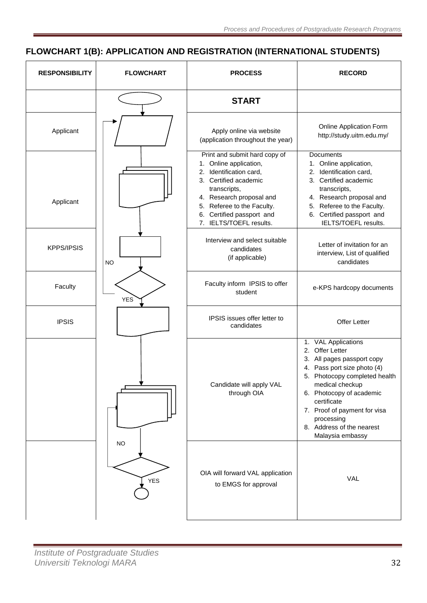# <span id="page-31-0"></span>**FLOWCHART 1(B): APPLICATION AND REGISTRATION (INTERNATIONAL STUDENTS)**

| <b>RESPONSIBILITY</b> | <b>FLOWCHART</b> | <b>PROCESS</b>                                                                                                                                                                                                                                | <b>RECORD</b>                                                                                                                                                                                                                                                                                               |
|-----------------------|------------------|-----------------------------------------------------------------------------------------------------------------------------------------------------------------------------------------------------------------------------------------------|-------------------------------------------------------------------------------------------------------------------------------------------------------------------------------------------------------------------------------------------------------------------------------------------------------------|
|                       |                  | <b>START</b>                                                                                                                                                                                                                                  |                                                                                                                                                                                                                                                                                                             |
| Applicant             |                  | Apply online via website<br>(application throughout the year)                                                                                                                                                                                 | Online Application Form<br>http://study.uitm.edu.my/                                                                                                                                                                                                                                                        |
| Applicant             |                  | Print and submit hard copy of<br>1. Online application,<br>2. Identification card,<br>3. Certified academic<br>transcripts,<br>4. Research proposal and<br>5. Referee to the Faculty.<br>6. Certified passport and<br>7. IELTS/TOEFL results. | <b>Documents</b><br>1. Online application,<br>2. Identification card,<br>3. Certified academic<br>transcripts,<br>4. Research proposal and<br>5. Referee to the Faculty.<br>6. Certified passport and<br>IELTS/TOEFL results.                                                                               |
| <b>KPPS/IPSIS</b>     | <b>NO</b>        | Interview and select suitable<br>candidates<br>(if applicable)                                                                                                                                                                                | Letter of invitation for an<br>interview, List of qualified<br>candidates                                                                                                                                                                                                                                   |
| Faculty               | <b>YES</b>       | Faculty inform IPSIS to offer<br>student                                                                                                                                                                                                      | e-KPS hardcopy documents                                                                                                                                                                                                                                                                                    |
| <b>IPSIS</b>          |                  | IPSIS issues offer letter to<br>candidates                                                                                                                                                                                                    | <b>Offer Letter</b>                                                                                                                                                                                                                                                                                         |
|                       |                  | Candidate will apply VAL<br>through OIA                                                                                                                                                                                                       | 1. VAL Applications<br><b>Offer Letter</b><br>2.<br>3. All pages passport copy<br>4. Pass port size photo (4)<br>5. Photocopy completed health<br>medical checkup<br>6. Photocopy of academic<br>certificate<br>7. Proof of payment for visa<br>processing<br>8. Address of the nearest<br>Malaysia embassy |
|                       | <b>NO</b><br>YES | OIA will forward VAL application<br>to EMGS for approval                                                                                                                                                                                      | VAL                                                                                                                                                                                                                                                                                                         |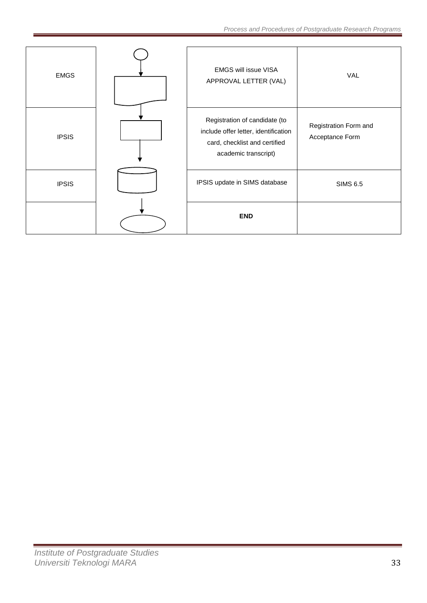| <b>EMGS</b>  | <b>EMGS will issue VISA</b><br>APPROVAL LETTER (VAL)                                                                           | VAL                                      |
|--------------|--------------------------------------------------------------------------------------------------------------------------------|------------------------------------------|
| <b>IPSIS</b> | Registration of candidate (to<br>include offer letter, identification<br>card, checklist and certified<br>academic transcript) | Registration Form and<br>Acceptance Form |
| <b>IPSIS</b> | IPSIS update in SIMS database                                                                                                  | <b>SIMS 6.5</b>                          |
|              | <b>END</b>                                                                                                                     |                                          |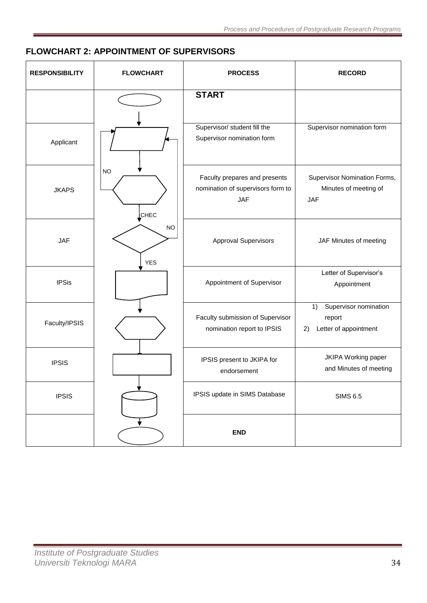# <span id="page-33-0"></span>**FLOWCHART 2: APPOINTMENT OF SUPERVISORS**

| <b>RESPONSIBILITY</b> | <b>FLOWCHART</b>  | <b>PROCESS</b>                                                                   | <b>RECORD</b>                                                        |
|-----------------------|-------------------|----------------------------------------------------------------------------------|----------------------------------------------------------------------|
|                       |                   | <b>START</b>                                                                     |                                                                      |
| Applicant             |                   | Supervisor/ student fill the<br>Supervisor nomination form                       | Supervisor nomination form                                           |
| <b>JKAPS</b>          | <b>NO</b><br>CHEC | Faculty prepares and presents<br>nomination of supervisors form to<br><b>JAF</b> | Supervisor Nomination Forms,<br>Minutes of meeting of<br><b>JAF</b>  |
| <b>JAF</b>            | NO<br><b>YES</b>  | Approval Supervisors                                                             | JAF Minutes of meeting                                               |
| <b>IPSis</b>          |                   | Appointment of Supervisor                                                        | Letter of Supervisor's<br>Appointment                                |
| Faculty/IPSIS         |                   | Faculty submission of Supervisor<br>nomination report to IPSIS                   | Supervisor nomination<br>1)<br>report<br>Letter of appointment<br>2) |
| <b>IPSIS</b>          |                   | IPSIS present to JKIPA for<br>endorsement                                        | JKIPA Working paper<br>and Minutes of meeting                        |
| <b>IPSIS</b>          |                   | IPSIS update in SIMS Database                                                    | <b>SIMS 6.5</b>                                                      |
|                       |                   | <b>END</b>                                                                       |                                                                      |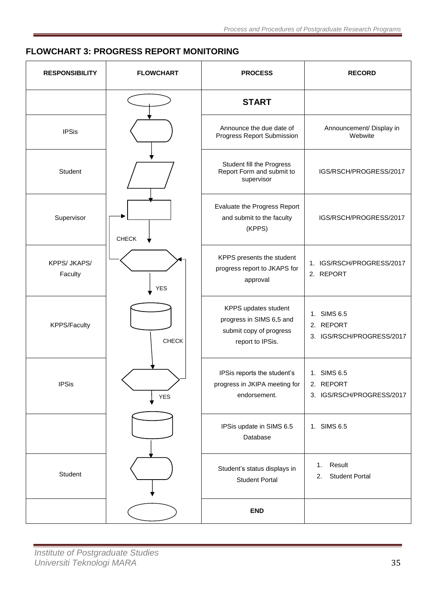# <span id="page-34-0"></span>**FLOWCHART 3: PROGRESS REPORT MONITORING**

| <b>RESPONSIBILITY</b>   | <b>FLOWCHART</b> | <b>PROCESS</b>                                                                                  | <b>RECORD</b>                                         |
|-------------------------|------------------|-------------------------------------------------------------------------------------------------|-------------------------------------------------------|
|                         |                  | <b>START</b>                                                                                    |                                                       |
| <b>IPSis</b>            |                  | Announce the due date of<br>Progress Report Submission                                          | Announcement/ Display in<br>Webwite                   |
| Student                 |                  | Student fill the Progress<br>Report Form and submit to<br>supervisor                            | IGS/RSCH/PROGRESS/2017                                |
| Supervisor              | <b>CHECK</b>     | Evaluate the Progress Report<br>and submit to the faculty<br>(KPPS)                             | IGS/RSCH/PROGRESS/2017                                |
| KPPS/ JKAPS/<br>Faculty | <b>YES</b>       | KPPS presents the student<br>progress report to JKAPS for<br>approval                           | 1. IGS/RSCH/PROGRESS/2017<br>2. REPORT                |
| <b>KPPS/Faculty</b>     | <b>CHECK</b>     | KPPS updates student<br>progress in SIMS 6,5 and<br>submit copy of progress<br>report to IPSis. | 1. SIMS 6.5<br>2. REPORT<br>3. IGS/RSCH/PROGRESS/2017 |
| <b>IPSis</b>            | YES              | IPSis reports the student's<br>progress in JKIPA meeting for<br>endorsement.                    | 1. SIMS 6.5<br>2. REPORT<br>3. IGS/RSCH/PROGRESS/2017 |
|                         |                  | IPSis update in SIMS 6.5<br>Database                                                            | 1. SIMS 6.5                                           |
| Student                 |                  | Student's status displays in<br><b>Student Portal</b>                                           | Result<br>1.<br><b>Student Portal</b><br>2.           |
|                         |                  | <b>END</b>                                                                                      |                                                       |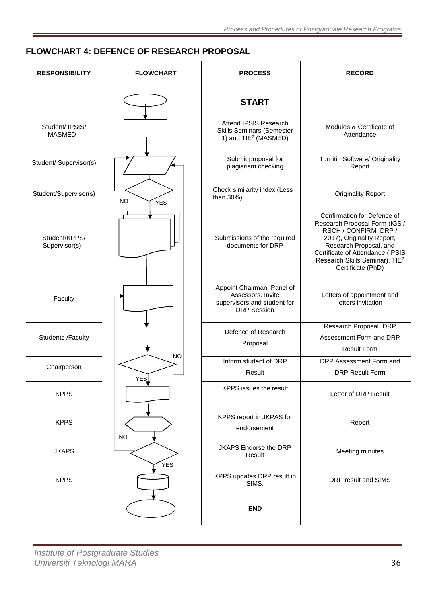# <span id="page-35-0"></span>**FLOWCHART 4: DEFENCE OF RESEARCH PROPOSAL**

| <b>RESPONSIBILITY</b>            | <b>FLOWCHART</b>        | <b>PROCESS</b>                                                                                       | <b>RECORD</b>                                                                                                                                                                                                                                       |
|----------------------------------|-------------------------|------------------------------------------------------------------------------------------------------|-----------------------------------------------------------------------------------------------------------------------------------------------------------------------------------------------------------------------------------------------------|
|                                  |                         | <b>START</b>                                                                                         |                                                                                                                                                                                                                                                     |
| Student/ IPSIS/<br><b>MASMED</b> |                         | Attend IPSIS Research<br><b>Skills Seminars (Semester</b><br>1) and TIE <sup>2</sup> (MASMED)        | Modules & Certificate of<br>Attendance                                                                                                                                                                                                              |
| Student/ Supervisor(s)           |                         | Submit proposal for<br>plagiarism checking                                                           | Turnitin Software/ Originality<br>Report                                                                                                                                                                                                            |
| Student/Supervisor(s)            | <b>NO</b><br><b>YES</b> | Check similarity index (Less<br>than 30%)                                                            | <b>Originality Report</b>                                                                                                                                                                                                                           |
| Student/KPPS/<br>Supervisor(s)   |                         | Submissions of the required<br>documents for DRP                                                     | Confirmation for Defence of<br>Research Proposal Form (IGS /<br>RSCH / CONFIRM_DRP /<br>2017), Originality Report,<br>Research Proposal, and<br>Certificate of Attendance (IPSIS<br>Research Skills Seminar), TIE <sup>2</sup><br>Certificate (PhD) |
| Faculty                          |                         | Appoint Chairman, Panel of<br>Assessors. Invite<br>supervisors and student for<br><b>DRP</b> Session | Letters of appointment and<br>letters invitation                                                                                                                                                                                                    |
| <b>Students /Faculty</b>         |                         | Defence of Research<br>Proposal                                                                      | Research Proposal, DRP<br>Assessment Form and DRP<br><b>Result Form</b>                                                                                                                                                                             |
| Chairperson                      | <b>NO</b><br>YES        | Inform student of DRP<br>Result                                                                      | DRP Assessment Form and<br><b>DRP Result Form</b>                                                                                                                                                                                                   |
| <b>KPPS</b>                      |                         | KPPS issues the result                                                                               | Letter of DRP Result                                                                                                                                                                                                                                |
| <b>KPPS</b>                      | <b>NO</b>               | KPPS report in JKPAS for<br>endorsement                                                              | Report                                                                                                                                                                                                                                              |
| <b>JKAPS</b>                     |                         | JKAPS Endorse the DRP<br>Result                                                                      | Meeting minutes                                                                                                                                                                                                                                     |
| <b>KPPS</b>                      | YES                     | KPPS updates DRP result in<br>SIMS.                                                                  | DRP result and SIMS                                                                                                                                                                                                                                 |
|                                  |                         | <b>END</b>                                                                                           |                                                                                                                                                                                                                                                     |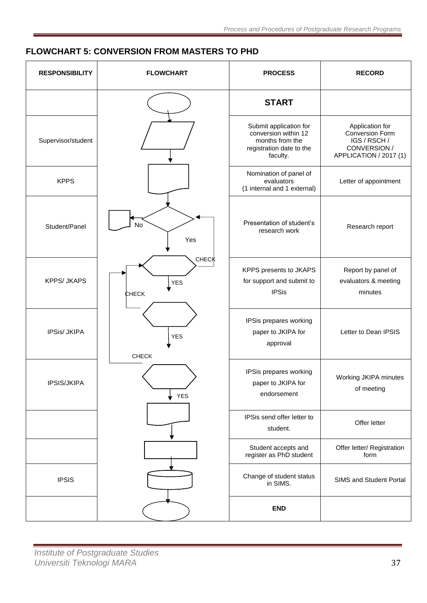# <span id="page-36-0"></span>**FLOWCHART 5: CONVERSION FROM MASTERS TO PHD**

| <b>RESPONSIBILITY</b> | <b>FLOWCHART</b>                    | <b>PROCESS</b>                                                                                            | <b>RECORD</b>                                                                                |
|-----------------------|-------------------------------------|-----------------------------------------------------------------------------------------------------------|----------------------------------------------------------------------------------------------|
|                       |                                     | <b>START</b>                                                                                              |                                                                                              |
| Supervisor/student    |                                     | Submit application for<br>conversion within 12<br>months from the<br>registration date to the<br>faculty. | Application for<br>Conversion Form<br>IGS / RSCH /<br>CONVERSION /<br>APPLICATION / 2017 (1) |
| <b>KPPS</b>           |                                     | Nomination of panel of<br>evaluators<br>(1 internal and 1 external)                                       | Letter of appointment                                                                        |
| Student/Panel         | No<br>Yes                           | Presentation of student's<br>research work                                                                | Research report                                                                              |
| <b>KPPS/ JKAPS</b>    | CHECK<br><b>YES</b><br><b>CHECK</b> | KPPS presents to JKAPS<br>for support and submit to<br><b>IPSis</b>                                       | Report by panel of<br>evaluators & meeting<br>minutes                                        |
| IPSis/ JKIPA          | <b>YES</b><br><b>CHECK</b>          | IPSis prepares working<br>paper to JKIPA for<br>approval                                                  | Letter to Dean IPSIS                                                                         |
| IPSIS/JKIPA           | <b>YES</b>                          | IPSis prepares working<br>paper to JKIPA for<br>endorsement                                               | Working JKIPA minutes<br>of meeting                                                          |
|                       |                                     | IPSis send offer letter to<br>student.                                                                    | Offer letter                                                                                 |
|                       |                                     | Student accepts and<br>register as PhD student                                                            | Offer letter/ Registration<br>form                                                           |
| <b>IPSIS</b>          |                                     | Change of student status<br>in SIMS.                                                                      | SIMS and Student Portal                                                                      |
|                       |                                     | <b>END</b>                                                                                                |                                                                                              |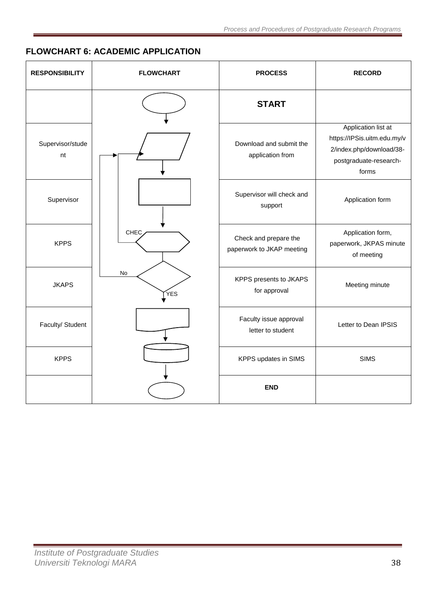# <span id="page-37-0"></span>**FLOWCHART 6: ACADEMIC APPLICATION**

| <b>RESPONSIBILITY</b>  | <b>FLOWCHART</b> | <b>PROCESS</b>                                     | <b>RECORD</b>                                                                                                     |
|------------------------|------------------|----------------------------------------------------|-------------------------------------------------------------------------------------------------------------------|
|                        |                  | <b>START</b>                                       |                                                                                                                   |
| Supervisor/stude<br>nt |                  | Download and submit the<br>application from        | Application list at<br>https://IPSis.uitm.edu.my/v<br>2/index.php/download/38-<br>postgraduate-research-<br>forms |
| Supervisor             |                  | Supervisor will check and<br>support               | Application form                                                                                                  |
| <b>KPPS</b>            | CHEC             | Check and prepare the<br>paperwork to JKAP meeting | Application form,<br>paperwork, JKPAS minute<br>of meeting                                                        |
| <b>JKAPS</b>           | No<br>ÝES        | KPPS presents to JKAPS<br>for approval             | Meeting minute                                                                                                    |
| Faculty/ Student       |                  | Faculty issue approval<br>letter to student        | Letter to Dean IPSIS                                                                                              |
| <b>KPPS</b>            |                  | KPPS updates in SIMS                               | <b>SIMS</b>                                                                                                       |
|                        |                  | <b>END</b>                                         |                                                                                                                   |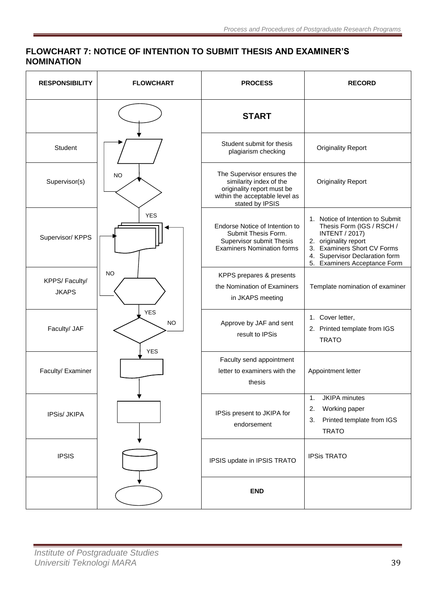# <span id="page-38-0"></span>**FLOWCHART 7: NOTICE OF INTENTION TO SUBMIT THESIS AND EXAMINER'S NOMINATION**

| <b>RESPONSIBILITY</b>         | <b>FLOWCHART</b>        | <b>PROCESS</b>                                                                                                                           | <b>RECORD</b>                                                                                                                                                                                                    |
|-------------------------------|-------------------------|------------------------------------------------------------------------------------------------------------------------------------------|------------------------------------------------------------------------------------------------------------------------------------------------------------------------------------------------------------------|
|                               |                         | <b>START</b>                                                                                                                             |                                                                                                                                                                                                                  |
| Student                       |                         | Student submit for thesis<br>plagiarism checking                                                                                         | <b>Originality Report</b>                                                                                                                                                                                        |
| Supervisor(s)                 | <b>NO</b>               | The Supervisor ensures the<br>similarity index of the<br>originality report must be<br>within the acceptable level as<br>stated by IPSIS | <b>Originality Report</b>                                                                                                                                                                                        |
| Supervisor/ KPPS              | <b>YES</b>              | Endorse Notice of Intention to<br>Submit Thesis Form.<br>Supervisor submit Thesis<br><b>Examiners Nomination forms</b>                   | 1. Notice of Intention to Submit<br>Thesis Form (IGS / RSCH /<br><b>INTENT / 2017)</b><br>2. originality report<br>3. Examiners Short CV Forms<br>4. Supervisor Declaration form<br>5. Examiners Acceptance Form |
| KPPS/Faculty/<br><b>JKAPS</b> | <b>NO</b>               | KPPS prepares & presents<br>the Nomination of Examiners<br>in JKAPS meeting                                                              | Template nomination of examiner                                                                                                                                                                                  |
| Faculty/ JAF                  | <b>YES</b><br><b>NO</b> | Approve by JAF and sent<br>result to IPSis                                                                                               | 1. Cover letter,<br>2. Printed template from IGS<br><b>TRATO</b>                                                                                                                                                 |
| Faculty/ Examiner             | <b>YES</b>              | Faculty send appointment<br>letter to examiners with the<br>thesis                                                                       | Appointment letter                                                                                                                                                                                               |
| IPSis/ JKIPA                  |                         | IPSis present to JKIPA for<br>endorsement                                                                                                | <b>JKIPA</b> minutes<br>$\mathbf 1$ .<br>Working paper<br>2.<br>Printed template from IGS<br>3.<br><b>TRATO</b>                                                                                                  |
| <b>IPSIS</b>                  |                         | IPSIS update in IPSIS TRATO                                                                                                              | <b>IPSis TRATO</b>                                                                                                                                                                                               |
|                               |                         | <b>END</b>                                                                                                                               |                                                                                                                                                                                                                  |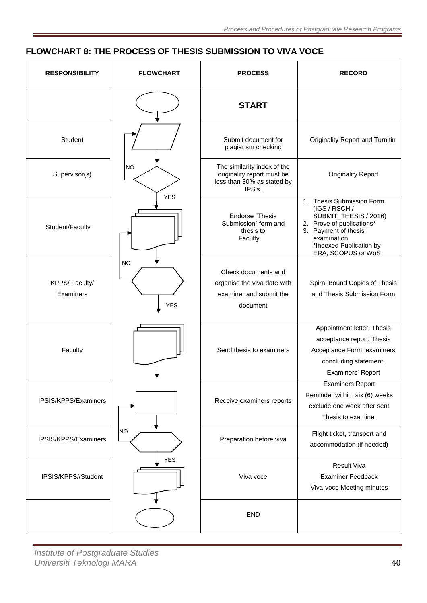# <span id="page-39-0"></span>**FLOWCHART 8: THE PROCESS OF THESIS SUBMISSION TO VIVA VOCE**

| <b>RESPONSIBILITY</b>      | <b>FLOWCHART</b> | <b>PROCESS</b>                                                                                    | <b>RECORD</b>                                                                                                                                                                            |
|----------------------------|------------------|---------------------------------------------------------------------------------------------------|------------------------------------------------------------------------------------------------------------------------------------------------------------------------------------------|
|                            |                  | <b>START</b>                                                                                      |                                                                                                                                                                                          |
| Student                    |                  | Submit document for<br>plagiarism checking                                                        | Originality Report and Turnitin                                                                                                                                                          |
| Supervisor(s)              | <b>NO</b>        | The similarity index of the<br>originality report must be<br>less than 30% as stated by<br>IPSis. | <b>Originality Report</b>                                                                                                                                                                |
| Student/Faculty            | <b>YES</b>       | <b>Endorse "Thesis</b><br>Submission" form and<br>thesis to<br>Faculty                            | 1. Thesis Submission Form<br>(IGS / RSCH /<br>SUBMIT_THESIS / 2016)<br>2. Prove of publications*<br>3. Payment of thesis<br>examination<br>*Indexed Publication by<br>ERA, SCOPUS or WoS |
| KPPS/Faculty/<br>Examiners | <b>NO</b><br>YES | Check documents and<br>organise the viva date with<br>examiner and submit the<br>document         | Spiral Bound Copies of Thesis<br>and Thesis Submission Form                                                                                                                              |
| Faculty                    |                  | Send thesis to examiners                                                                          | Appointment letter, Thesis<br>acceptance report, Thesis<br>Acceptance Form, examiners<br>concluding statement,<br>Examiners' Report                                                      |
| IPSIS/KPPS/Examiners       |                  | Receive examiners reports                                                                         | <b>Examiners Report</b><br>Reminder within six (6) weeks<br>exclude one week after sent<br>Thesis to examiner                                                                            |
| IPSIS/KPPS/Examiners       | NO               | Preparation before viva                                                                           | Flight ticket, transport and<br>accommodation (if needed)                                                                                                                                |
| IPSIS/KPPS//Student        | <b>YES</b>       | Viva voce                                                                                         | <b>Result Viva</b><br><b>Examiner Feedback</b><br>Viva-voce Meeting minutes                                                                                                              |
|                            |                  | <b>END</b>                                                                                        |                                                                                                                                                                                          |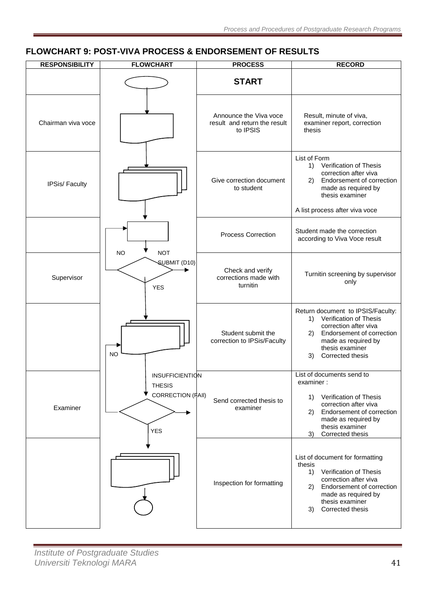### **RESPONSIBILITY FLOWCHART PROCESS RECORD START** Chairman viva voce Announce the Viva voce result and return the result to IPSIS Result, minute of viva, examiner report, correction thesis IPSis/ Faculty Give correction document to student List of Form 1) Verification of Thesis correction after viva 2) Endorsement of correction made as required by thesis examiner A list process after viva voce Process Correction Student made the correction according to Viva Voce result Supervisor Ì Check and verify corrections made with turnitin Turnitin screening by supervisor only Student submit the correction to IPSis/Faculty Return document to IPSIS/Faculty: 1) Verification of Thesis correction after viva 2) Endorsement of correction made as required by thesis examiner 3) Corrected thesis Examiner  $\overline{a}$ Send corrected thesis to examiner List of documents send to examiner : 1) Verification of Thesis correction after viva 2) Endorsement of correction made as required by thesis examiner 3) Corrected thesis Inspection for formatting List of document for formatting thesis 1) Verification of Thesis correction after viva 2) Endorsement of correction made as required by thesis examiner 3) Corrected thesis NO **NOT** SUBMIT (D10) INSUFFICIENTION THESIS CORRECTION (FAIl) YES YES NO

## <span id="page-40-0"></span>**FLOWCHART 9: POST-VIVA PROCESS & ENDORSEMENT OF RESULTS**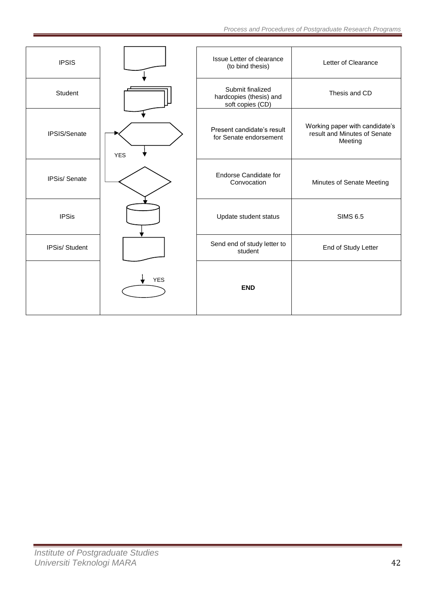| <b>IPSIS</b>  |            | Issue Letter of clearance<br>(to bind thesis)                   | Letter of Clearance                                                       |
|---------------|------------|-----------------------------------------------------------------|---------------------------------------------------------------------------|
| Student       |            | Submit finalized<br>hardcopies (thesis) and<br>soft copies (CD) | Thesis and CD                                                             |
| IPSIS/Senate  | <b>YES</b> | Present candidate's result<br>for Senate endorsement            | Working paper with candidate's<br>result and Minutes of Senate<br>Meeting |
| IPSis/Senate  |            | <b>Endorse Candidate for</b><br>Convocation                     | Minutes of Senate Meeting                                                 |
| <b>IPSis</b>  |            | Update student status                                           | <b>SIMS 6.5</b>                                                           |
| IPSis/Student |            | Send end of study letter to<br>student                          | End of Study Letter                                                       |
|               | <b>YES</b> | <b>END</b>                                                      |                                                                           |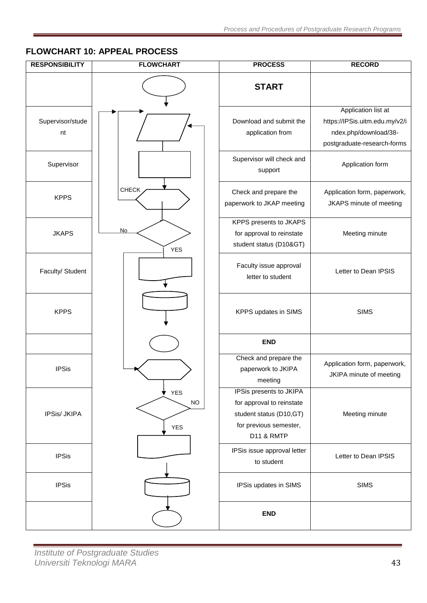# <span id="page-42-0"></span>**FLOWCHART 10: APPEAL PROCESS**

| <b>RESPONSIBILITY</b>  | <b>FLOWCHART</b>                      | <b>PROCESS</b>                                                                                                                     | <b>RECORD</b>                                                                                                 |
|------------------------|---------------------------------------|------------------------------------------------------------------------------------------------------------------------------------|---------------------------------------------------------------------------------------------------------------|
|                        |                                       | <b>START</b>                                                                                                                       |                                                                                                               |
| Supervisor/stude<br>nt |                                       | Download and submit the<br>application from                                                                                        | Application list at<br>https://IPSis.uitm.edu.my/v2/i<br>ndex.php/download/38-<br>postgraduate-research-forms |
| Supervisor             |                                       | Supervisor will check and<br>support                                                                                               | Application form                                                                                              |
| <b>KPPS</b>            | <b>CHECK</b>                          | Check and prepare the<br>paperwork to JKAP meeting                                                                                 | Application form, paperwork,<br>JKAPS minute of meeting                                                       |
| <b>JKAPS</b>           | No.<br><b>YES</b>                     | KPPS presents to JKAPS<br>for approval to reinstate<br>student status (D10>)                                                       | Meeting minute                                                                                                |
| Faculty/ Student       |                                       | Faculty issue approval<br>letter to student                                                                                        | Letter to Dean IPSIS                                                                                          |
| <b>KPPS</b>            |                                       | KPPS updates in SIMS                                                                                                               | <b>SIMS</b>                                                                                                   |
|                        |                                       | <b>END</b>                                                                                                                         |                                                                                                               |
| <b>IPSis</b>           |                                       | Check and prepare the<br>paperwork to JKIPA<br>meeting                                                                             | Application form, paperwork,<br>JKIPA minute of meeting                                                       |
| IPSis/ JKIPA           | <b>YES</b><br>v<br>$NO$<br><b>YES</b> | IPSis presents to JKIPA<br>for approval to reinstate<br>student status (D10,GT)<br>for previous semester,<br><b>D11 &amp; RMTP</b> | Meeting minute                                                                                                |
| <b>IPSis</b>           |                                       | IPSis issue approval letter<br>to student                                                                                          | Letter to Dean IPSIS                                                                                          |
| <b>IPSis</b>           |                                       | IPSis updates in SIMS                                                                                                              | <b>SIMS</b>                                                                                                   |
|                        |                                       | <b>END</b>                                                                                                                         |                                                                                                               |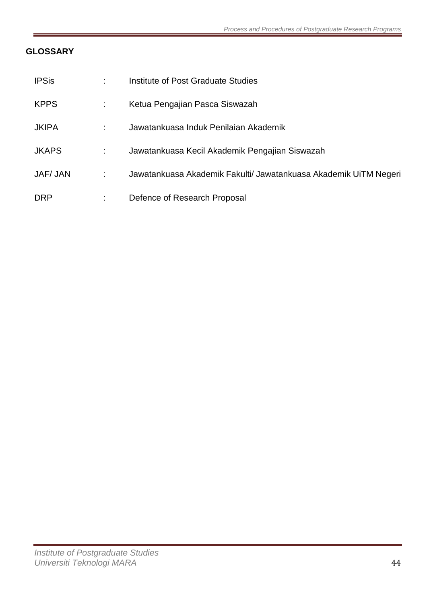# <span id="page-43-0"></span>**GLOSSARY**

| <b>IPSis</b>    | ÷ | Institute of Post Graduate Studies                               |
|-----------------|---|------------------------------------------------------------------|
| <b>KPPS</b>     |   | Ketua Pengajian Pasca Siswazah                                   |
| <b>JKIPA</b>    | ÷ | Jawatankuasa Induk Penilaian Akademik                            |
| <b>JKAPS</b>    |   | Jawatankuasa Kecil Akademik Pengajian Siswazah                   |
| <b>JAF/ JAN</b> |   | Jawatankuasa Akademik Fakulti/ Jawatankuasa Akademik UiTM Negeri |
| <b>DRP</b>      | ÷ | Defence of Research Proposal                                     |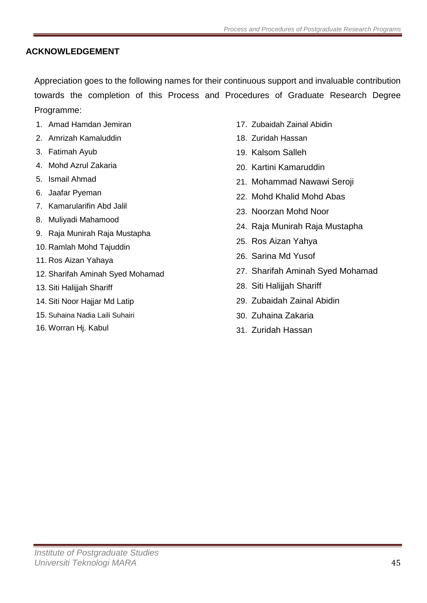# <span id="page-44-0"></span>**ACKNOWLEDGEMENT**

Appreciation goes to the following names for their continuous support and invaluable contribution towards the completion of this Process and Procedures of Graduate Research Degree Programme:

- 1. Amad Hamdan Jemiran
- 2. Amrizah Kamaluddin
- 3. Fatimah Ayub
- 4. Mohd Azrul Zakaria
- 5. Ismail Ahmad
- 6. Jaafar Pyeman
- 7. Kamarularifin Abd Jalil
- 8. Muliyadi Mahamood
- 9. Raja Munirah Raja Mustapha
- 10. Ramlah Mohd Tajuddin
- 11. Ros Aizan Yahaya
- 12. Sharifah Aminah Syed Mohamad
- 13. Siti Halijjah Shariff
- 14. Siti Noor Hajjar Md Latip
- 15. Suhaina Nadia Laili Suhairi
- 16. Worran Hj. Kabul
- 17. Zubaidah Zainal Abidin
- 18. Zuridah Hassan
- 19. Kalsom Salleh
- 20. Kartini Kamaruddin
- 21. Mohammad Nawawi Seroji
- 22. Mohd Khalid Mohd Abas
- 23. Noorzan Mohd Noor
- 24. Raja Munirah Raja Mustapha
- 25. Ros Aizan Yahya
- 26. Sarina Md Yusof
- 27. Sharifah Aminah Syed Mohamad
- 28. Siti Halijjah Shariff
- 29. Zubaidah Zainal Abidin
- 30. Zuhaina Zakaria
- 31. Zuridah Hassan